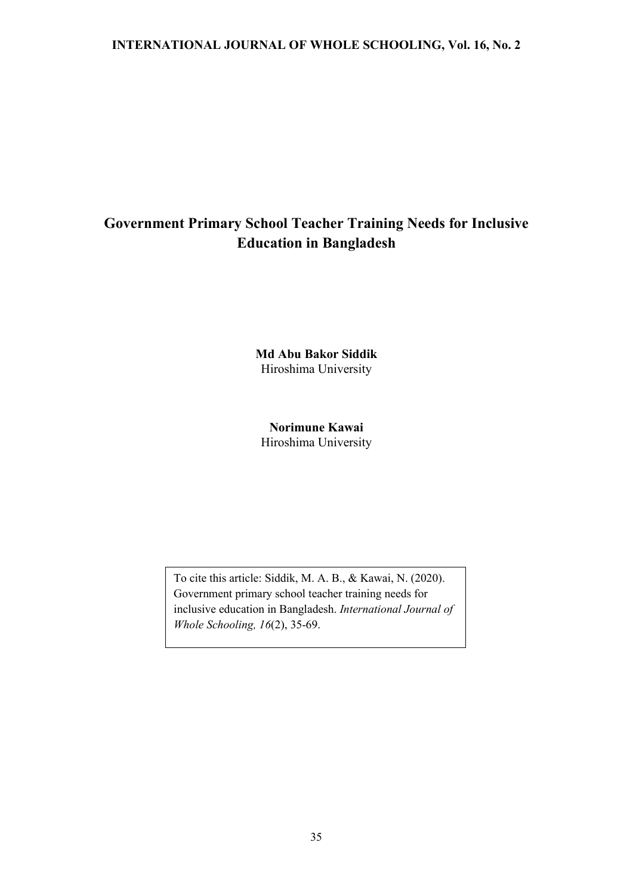# **Government Primary School Teacher Training Needs for Inclusive Education in Bangladesh**

**Md Abu Bakor Siddik** Hiroshima University

**Norimune Kawai** Hiroshima University

To cite this article: Siddik, M. A. B., & Kawai, N. (2020). Government primary school teacher training needs for inclusive education in Bangladesh. *International Journal of Whole Schooling, 16*(2), 35-69.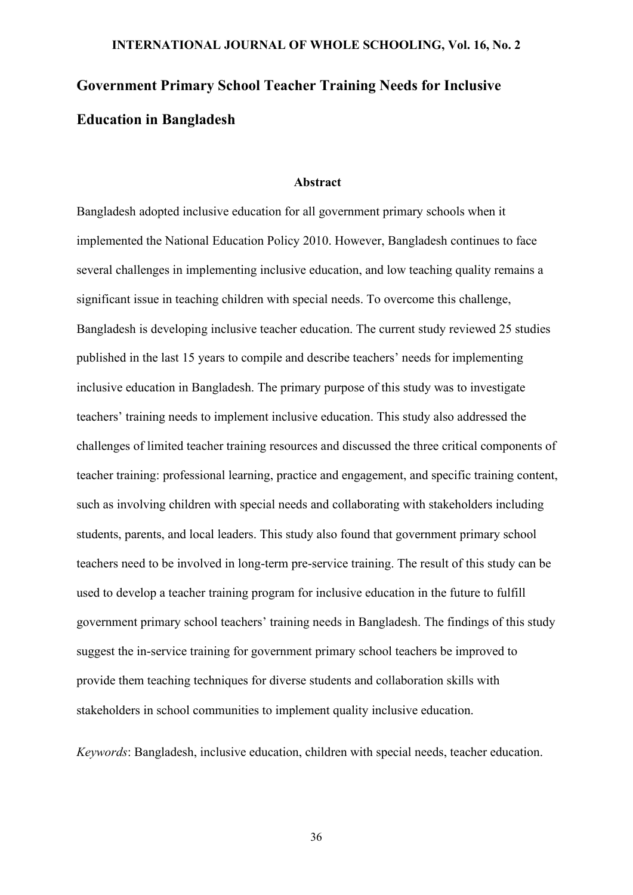# **Government Primary School Teacher Training Needs for Inclusive Education in Bangladesh**

#### **Abstract**

Bangladesh adopted inclusive education for all government primary schools when it implemented the National Education Policy 2010. However, Bangladesh continues to face several challenges in implementing inclusive education, and low teaching quality remains a significant issue in teaching children with special needs. To overcome this challenge, Bangladesh is developing inclusive teacher education. The current study reviewed 25 studies published in the last 15 years to compile and describe teachers' needs for implementing inclusive education in Bangladesh. The primary purpose of this study was to investigate teachers' training needs to implement inclusive education. This study also addressed the challenges of limited teacher training resources and discussed the three critical components of teacher training: professional learning, practice and engagement, and specific training content, such as involving children with special needs and collaborating with stakeholders including students, parents, and local leaders. This study also found that government primary school teachers need to be involved in long-term pre-service training. The result of this study can be used to develop a teacher training program for inclusive education in the future to fulfill government primary school teachers' training needs in Bangladesh. The findings of this study suggest the in-service training for government primary school teachers be improved to provide them teaching techniques for diverse students and collaboration skills with stakeholders in school communities to implement quality inclusive education.

*Keywords*: Bangladesh, inclusive education, children with special needs, teacher education.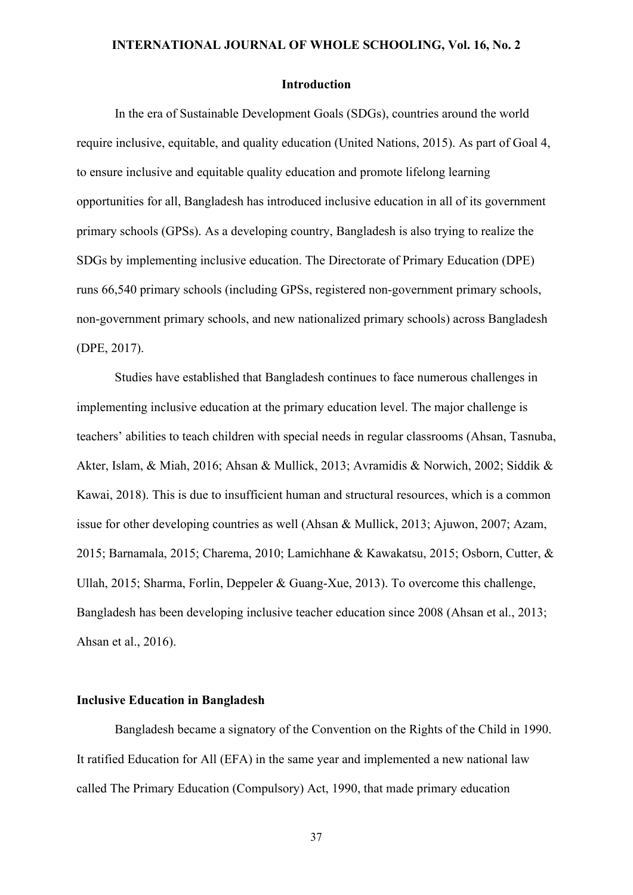#### **Introduction**

In the era of Sustainable Development Goals (SDGs), countries around the world require inclusive, equitable, and quality education (United Nations, 2015). As part of Goal 4, to ensure inclusive and equitable quality education and promote lifelong learning opportunities for all, Bangladesh has introduced inclusive education in all of its government primary schools (GPSs). As a developing country, Bangladesh is also trying to realize the SDGs by implementing inclusive education. The Directorate of Primary Education (DPE) runs 66,540 primary schools (including GPSs, registered non-government primary schools, non-government primary schools, and new nationalized primary schools) across Bangladesh (DPE, 2017).

Studies have established that Bangladesh continues to face numerous challenges in implementing inclusive education at the primary education level. The major challenge is teachers' abilities to teach children with special needs in regular classrooms (Ahsan, Tasnuba, Akter, Islam, & Miah, 2016; Ahsan & Mullick, 2013; Avramidis & Norwich, 2002; Siddik & Kawai, 2018). This is due to insufficient human and structural resources, which is a common issue for other developing countries as well (Ahsan & Mullick, 2013; Ajuwon, 2007; Azam, 2015; Barnamala, 2015; Charema, 2010; Lamichhane & Kawakatsu, 2015; Osborn, Cutter, & Ullah, 2015; Sharma, Forlin, Deppeler & Guang-Xue, 2013). To overcome this challenge, Bangladesh has been developing inclusive teacher education since 2008 (Ahsan et al., 2013; Ahsan et al., 2016).

#### **Inclusive Education in Bangladesh**

Bangladesh became a signatory of the Convention on the Rights of the Child in 1990. It ratified Education for All (EFA) in the same year and implemented a new national law called The Primary Education (Compulsory) Act, 1990, that made primary education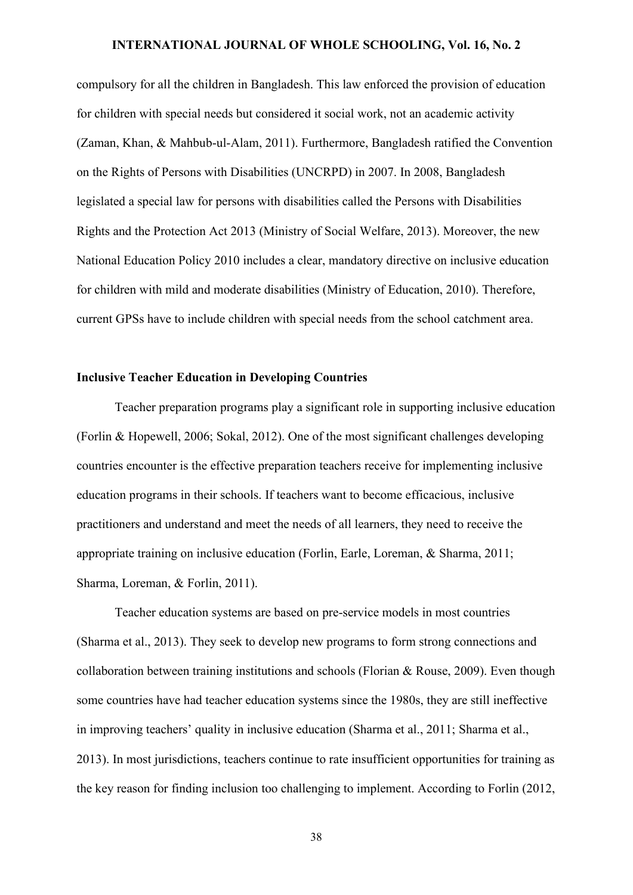compulsory for all the children in Bangladesh. This law enforced the provision of education for children with special needs but considered it social work, not an academic activity (Zaman, Khan, & Mahbub-ul-Alam, 2011). Furthermore, Bangladesh ratified the Convention on the Rights of Persons with Disabilities (UNCRPD) in 2007. In 2008, Bangladesh legislated a special law for persons with disabilities called the Persons with Disabilities Rights and the Protection Act 2013 (Ministry of Social Welfare, 2013). Moreover, the new National Education Policy 2010 includes a clear, mandatory directive on inclusive education for children with mild and moderate disabilities (Ministry of Education, 2010). Therefore, current GPSs have to include children with special needs from the school catchment area.

# **Inclusive Teacher Education in Developing Countries**

Teacher preparation programs play a significant role in supporting inclusive education (Forlin & Hopewell, 2006; Sokal, 2012). One of the most significant challenges developing countries encounter is the effective preparation teachers receive for implementing inclusive education programs in their schools. If teachers want to become efficacious, inclusive practitioners and understand and meet the needs of all learners, they need to receive the appropriate training on inclusive education (Forlin, Earle, Loreman, & Sharma, 2011; Sharma, Loreman, & Forlin, 2011).

Teacher education systems are based on pre-service models in most countries (Sharma et al., 2013). They seek to develop new programs to form strong connections and collaboration between training institutions and schools (Florian & Rouse, 2009). Even though some countries have had teacher education systems since the 1980s, they are still ineffective in improving teachers' quality in inclusive education (Sharma et al., 2011; Sharma et al., 2013). In most jurisdictions, teachers continue to rate insufficient opportunities for training as the key reason for finding inclusion too challenging to implement. According to Forlin (2012,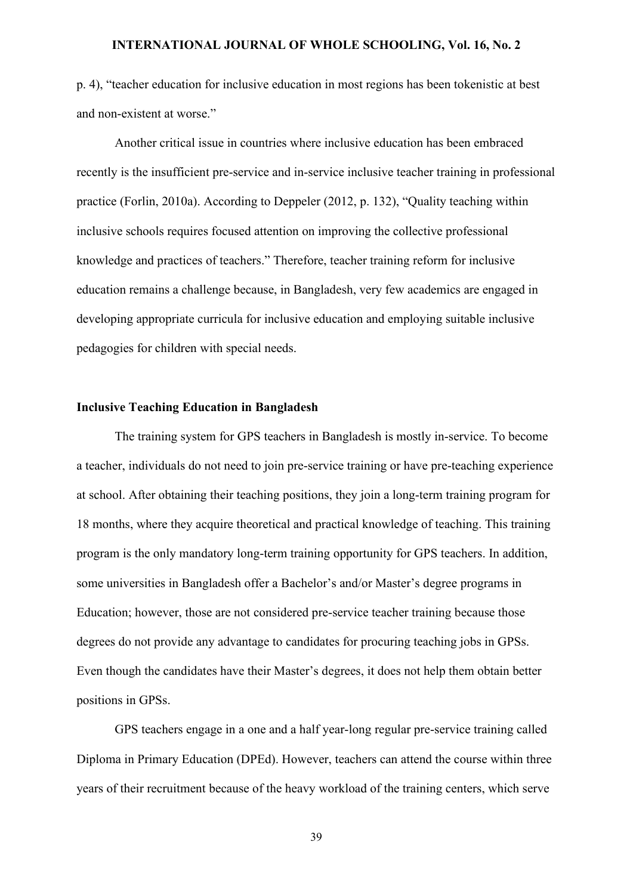p. 4), "teacher education for inclusive education in most regions has been tokenistic at best and non-existent at worse."

Another critical issue in countries where inclusive education has been embraced recently is the insufficient pre-service and in-service inclusive teacher training in professional practice (Forlin, 2010a). According to Deppeler (2012, p. 132), "Quality teaching within inclusive schools requires focused attention on improving the collective professional knowledge and practices of teachers." Therefore, teacher training reform for inclusive education remains a challenge because, in Bangladesh, very few academics are engaged in developing appropriate curricula for inclusive education and employing suitable inclusive pedagogies for children with special needs.

### **Inclusive Teaching Education in Bangladesh**

The training system for GPS teachers in Bangladesh is mostly in-service. To become a teacher, individuals do not need to join pre-service training or have pre-teaching experience at school. After obtaining their teaching positions, they join a long-term training program for 18 months, where they acquire theoretical and practical knowledge of teaching. This training program is the only mandatory long-term training opportunity for GPS teachers. In addition, some universities in Bangladesh offer a Bachelor's and/or Master's degree programs in Education; however, those are not considered pre-service teacher training because those degrees do not provide any advantage to candidates for procuring teaching jobs in GPSs. Even though the candidates have their Master's degrees, it does not help them obtain better positions in GPSs.

GPS teachers engage in a one and a half year-long regular pre-service training called Diploma in Primary Education (DPEd). However, teachers can attend the course within three years of their recruitment because of the heavy workload of the training centers, which serve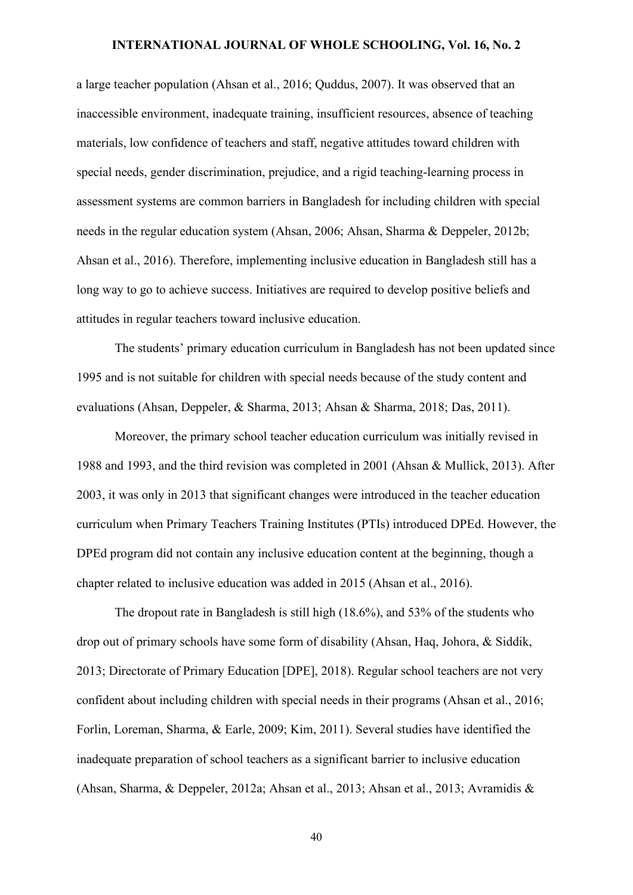a large teacher population (Ahsan et al., 2016; Quddus, 2007). It was observed that an inaccessible environment, inadequate training, insufficient resources, absence of teaching materials, low confidence of teachers and staff, negative attitudes toward children with special needs, gender discrimination, prejudice, and a rigid teaching-learning process in assessment systems are common barriers in Bangladesh for including children with special needs in the regular education system (Ahsan, 2006; Ahsan, Sharma & Deppeler, 2012b; Ahsan et al., 2016). Therefore, implementing inclusive education in Bangladesh still has a long way to go to achieve success. Initiatives are required to develop positive beliefs and attitudes in regular teachers toward inclusive education.

The students' primary education curriculum in Bangladesh has not been updated since 1995 and is not suitable for children with special needs because of the study content and evaluations (Ahsan, Deppeler, & Sharma, 2013; Ahsan & Sharma, 2018; Das, 2011).

Moreover, the primary school teacher education curriculum was initially revised in 1988 and 1993, and the third revision was completed in 2001 (Ahsan & Mullick, 2013). After 2003, it was only in 2013 that significant changes were introduced in the teacher education curriculum when Primary Teachers Training Institutes (PTIs) introduced DPEd. However, the DPEd program did not contain any inclusive education content at the beginning, though a chapter related to inclusive education was added in 2015 (Ahsan et al., 2016).

The dropout rate in Bangladesh is still high (18.6%), and 53% of the students who drop out of primary schools have some form of disability (Ahsan, Haq, Johora, & Siddik, 2013; Directorate of Primary Education [DPE], 2018). Regular school teachers are not very confident about including children with special needs in their programs (Ahsan et al., 2016; Forlin, Loreman, Sharma, & Earle, 2009; Kim, 2011). Several studies have identified the inadequate preparation of school teachers as a significant barrier to inclusive education (Ahsan, Sharma, & Deppeler, 2012a; Ahsan et al., 2013; Ahsan et al., 2013; Avramidis &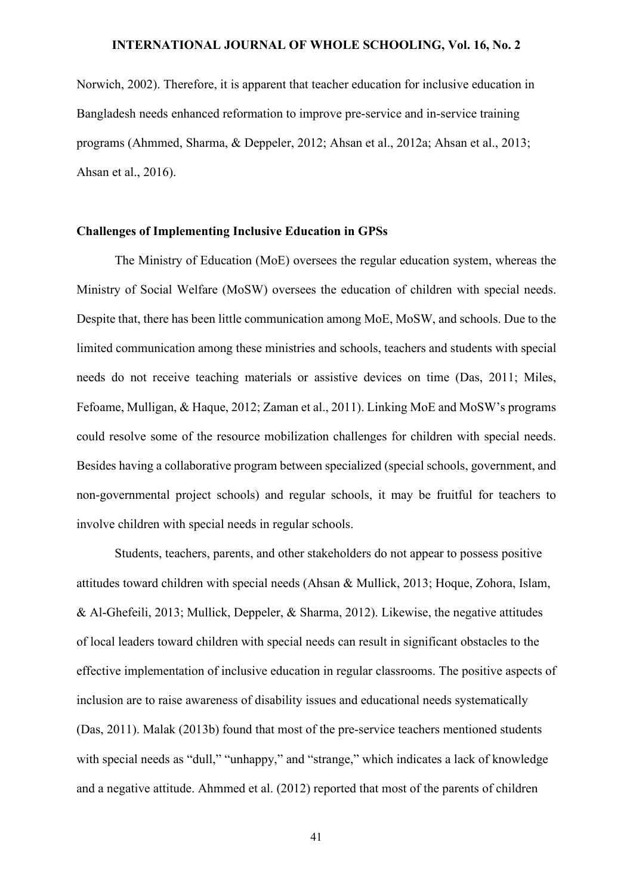Norwich, 2002). Therefore, it is apparent that teacher education for inclusive education in Bangladesh needs enhanced reformation to improve pre-service and in-service training programs (Ahmmed, Sharma, & Deppeler, 2012; Ahsan et al., 2012a; Ahsan et al., 2013; Ahsan et al., 2016).

# **Challenges of Implementing Inclusive Education in GPSs**

The Ministry of Education (MoE) oversees the regular education system, whereas the Ministry of Social Welfare (MoSW) oversees the education of children with special needs. Despite that, there has been little communication among MoE, MoSW, and schools. Due to the limited communication among these ministries and schools, teachers and students with special needs do not receive teaching materials or assistive devices on time (Das, 2011; Miles, Fefoame, Mulligan, & Haque, 2012; Zaman et al., 2011). Linking MoE and MoSW's programs could resolve some of the resource mobilization challenges for children with special needs. Besides having a collaborative program between specialized (special schools, government, and non-governmental project schools) and regular schools, it may be fruitful for teachers to involve children with special needs in regular schools.

Students, teachers, parents, and other stakeholders do not appear to possess positive attitudes toward children with special needs (Ahsan & Mullick, 2013; Hoque, Zohora, Islam, & Al-Ghefeili, 2013; Mullick, Deppeler, & Sharma, 2012). Likewise, the negative attitudes of local leaders toward children with special needs can result in significant obstacles to the effective implementation of inclusive education in regular classrooms. The positive aspects of inclusion are to raise awareness of disability issues and educational needs systematically (Das, 2011). Malak (2013b) found that most of the pre-service teachers mentioned students with special needs as "dull," "unhappy," and "strange," which indicates a lack of knowledge and a negative attitude. Ahmmed et al. (2012) reported that most of the parents of children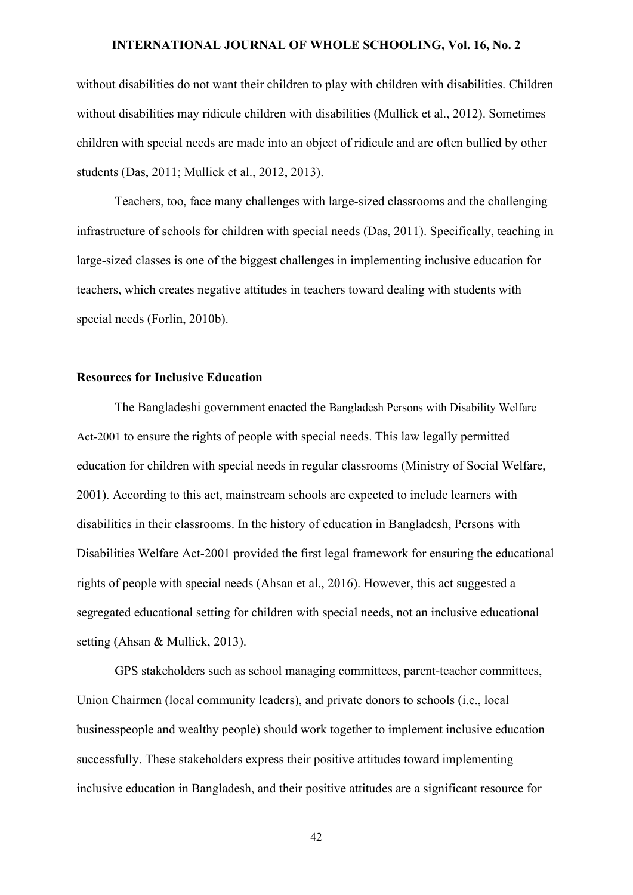without disabilities do not want their children to play with children with disabilities. Children without disabilities may ridicule children with disabilities (Mullick et al., 2012). Sometimes children with special needs are made into an object of ridicule and are often bullied by other students (Das, 2011; Mullick et al., 2012, 2013).

Teachers, too, face many challenges with large-sized classrooms and the challenging infrastructure of schools for children with special needs (Das, 2011). Specifically, teaching in large-sized classes is one of the biggest challenges in implementing inclusive education for teachers, which creates negative attitudes in teachers toward dealing with students with special needs (Forlin, 2010b).

# **Resources for Inclusive Education**

The Bangladeshi government enacted the Bangladesh Persons with Disability Welfare Act-2001 to ensure the rights of people with special needs. This law legally permitted education for children with special needs in regular classrooms (Ministry of Social Welfare, 2001). According to this act, mainstream schools are expected to include learners with disabilities in their classrooms. In the history of education in Bangladesh, Persons with Disabilities Welfare Act-2001 provided the first legal framework for ensuring the educational rights of people with special needs (Ahsan et al., 2016). However, this act suggested a segregated educational setting for children with special needs, not an inclusive educational setting (Ahsan & Mullick, 2013).

GPS stakeholders such as school managing committees, parent-teacher committees, Union Chairmen (local community leaders), and private donors to schools (i.e., local businesspeople and wealthy people) should work together to implement inclusive education successfully. These stakeholders express their positive attitudes toward implementing inclusive education in Bangladesh, and their positive attitudes are a significant resource for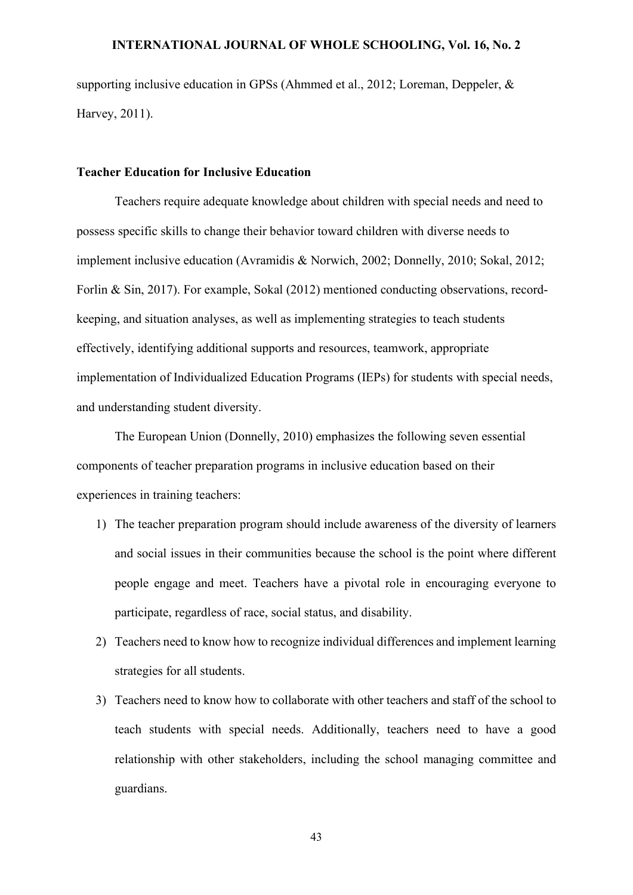supporting inclusive education in GPSs (Ahmmed et al., 2012; Loreman, Deppeler, & Harvey, 2011).

# **Teacher Education for Inclusive Education**

Teachers require adequate knowledge about children with special needs and need to possess specific skills to change their behavior toward children with diverse needs to implement inclusive education (Avramidis & Norwich, 2002; Donnelly, 2010; Sokal, 2012; Forlin & Sin, 2017). For example, Sokal (2012) mentioned conducting observations, recordkeeping, and situation analyses, as well as implementing strategies to teach students effectively, identifying additional supports and resources, teamwork, appropriate implementation of Individualized Education Programs (IEPs) for students with special needs, and understanding student diversity.

The European Union (Donnelly, 2010) emphasizes the following seven essential components of teacher preparation programs in inclusive education based on their experiences in training teachers:

- 1) The teacher preparation program should include awareness of the diversity of learners and social issues in their communities because the school is the point where different people engage and meet. Teachers have a pivotal role in encouraging everyone to participate, regardless of race, social status, and disability.
- 2) Teachers need to know how to recognize individual differences and implement learning strategies for all students.
- 3) Teachers need to know how to collaborate with other teachers and staff of the school to teach students with special needs. Additionally, teachers need to have a good relationship with other stakeholders, including the school managing committee and guardians.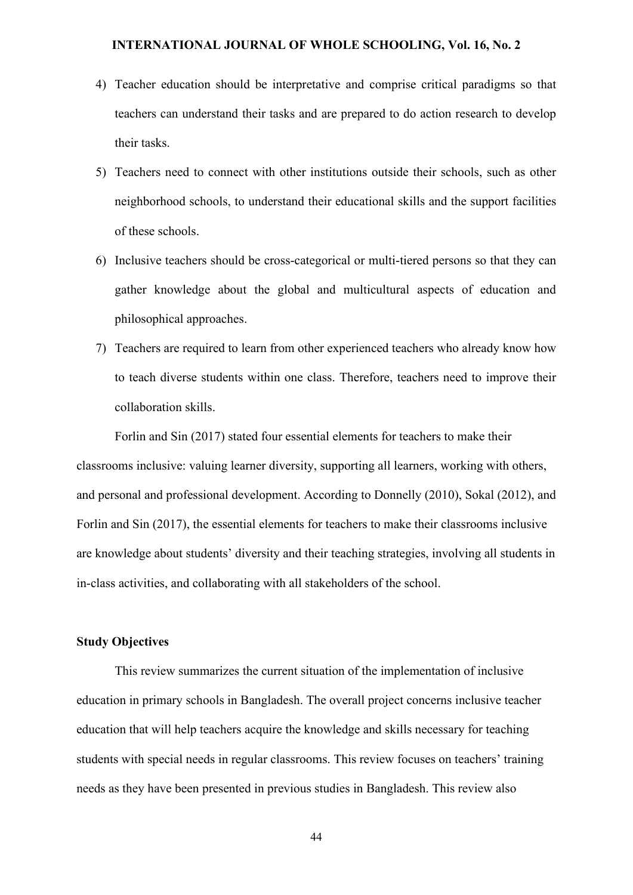- 4) Teacher education should be interpretative and comprise critical paradigms so that teachers can understand their tasks and are prepared to do action research to develop their tasks.
- 5) Teachers need to connect with other institutions outside their schools, such as other neighborhood schools, to understand their educational skills and the support facilities of these schools.
- 6) Inclusive teachers should be cross-categorical or multi-tiered persons so that they can gather knowledge about the global and multicultural aspects of education and philosophical approaches.
- 7) Teachers are required to learn from other experienced teachers who already know how to teach diverse students within one class. Therefore, teachers need to improve their collaboration skills.

Forlin and Sin (2017) stated four essential elements for teachers to make their classrooms inclusive: valuing learner diversity, supporting all learners, working with others, and personal and professional development. According to Donnelly (2010), Sokal (2012), and Forlin and Sin (2017), the essential elements for teachers to make their classrooms inclusive are knowledge about students' diversity and their teaching strategies, involving all students in in-class activities, and collaborating with all stakeholders of the school.

### **Study Objectives**

This review summarizes the current situation of the implementation of inclusive education in primary schools in Bangladesh. The overall project concerns inclusive teacher education that will help teachers acquire the knowledge and skills necessary for teaching students with special needs in regular classrooms. This review focuses on teachers' training needs as they have been presented in previous studies in Bangladesh. This review also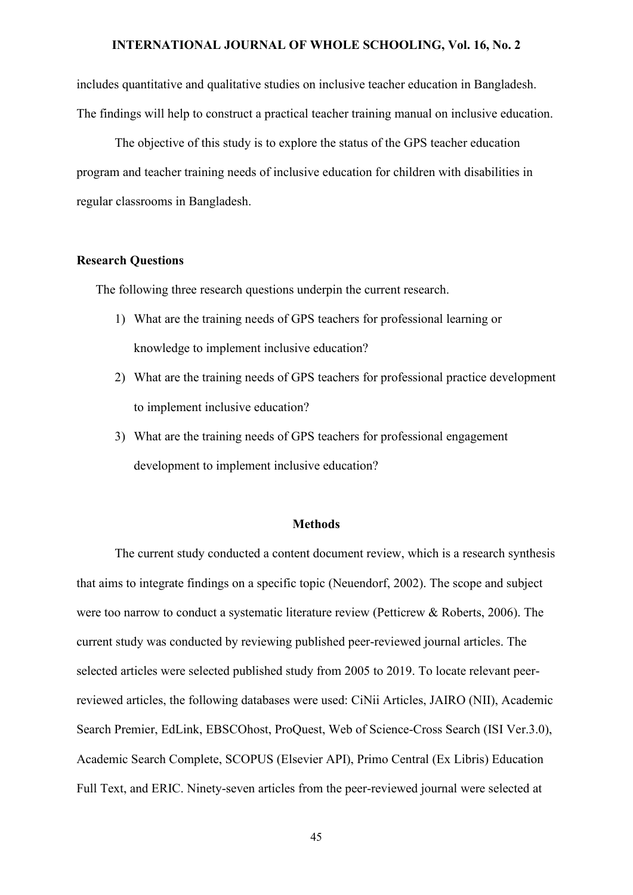includes quantitative and qualitative studies on inclusive teacher education in Bangladesh. The findings will help to construct a practical teacher training manual on inclusive education.

The objective of this study is to explore the status of the GPS teacher education program and teacher training needs of inclusive education for children with disabilities in regular classrooms in Bangladesh.

#### **Research Questions**

The following three research questions underpin the current research.

- 1) What are the training needs of GPS teachers for professional learning or knowledge to implement inclusive education?
- 2) What are the training needs of GPS teachers for professional practice development to implement inclusive education?
- 3) What are the training needs of GPS teachers for professional engagement development to implement inclusive education?

#### **Methods**

The current study conducted a content document review, which is a research synthesis that aims to integrate findings on a specific topic (Neuendorf, 2002). The scope and subject were too narrow to conduct a systematic literature review (Petticrew & Roberts, 2006). The current study was conducted by reviewing published peer-reviewed journal articles. The selected articles were selected published study from 2005 to 2019. To locate relevant peerreviewed articles, the following databases were used: CiNii Articles, JAIRO (NII), Academic Search Premier, EdLink, EBSCOhost, ProQuest, Web of Science-Cross Search (ISI Ver.3.0), Academic Search Complete, SCOPUS (Elsevier API), Primo Central (Ex Libris) Education Full Text, and ERIC. Ninety-seven articles from the peer-reviewed journal were selected at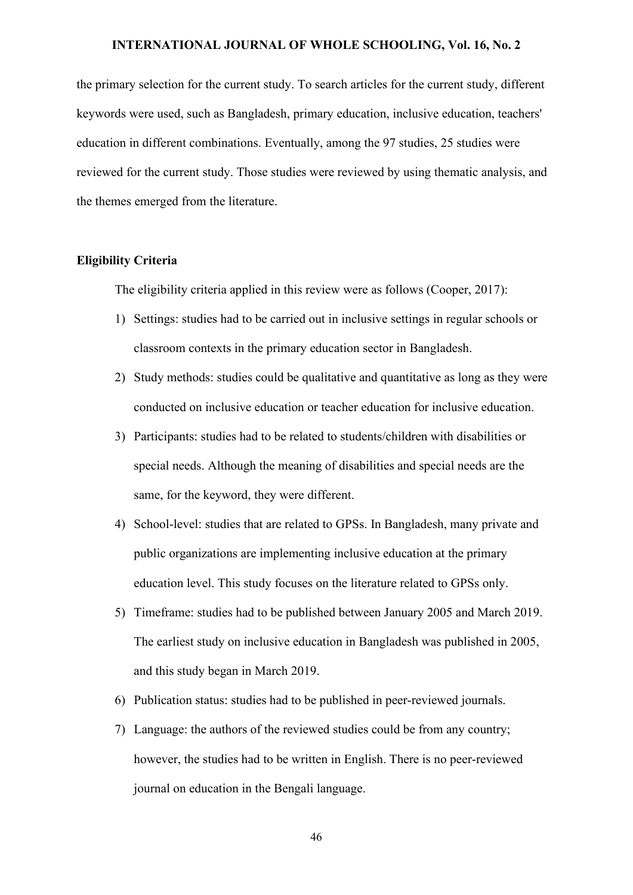the primary selection for the current study. To search articles for the current study, different keywords were used, such as Bangladesh, primary education, inclusive education, teachers' education in different combinations. Eventually, among the 97 studies, 25 studies were reviewed for the current study. Those studies were reviewed by using thematic analysis, and the themes emerged from the literature.

# **Eligibility Criteria**

The eligibility criteria applied in this review were as follows (Cooper, 2017):

- 1) Settings: studies had to be carried out in inclusive settings in regular schools or classroom contexts in the primary education sector in Bangladesh.
- 2) Study methods: studies could be qualitative and quantitative as long as they were conducted on inclusive education or teacher education for inclusive education.
- 3) Participants: studies had to be related to students/children with disabilities or special needs. Although the meaning of disabilities and special needs are the same, for the keyword, they were different.
- 4) School-level: studies that are related to GPSs. In Bangladesh, many private and public organizations are implementing inclusive education at the primary education level. This study focuses on the literature related to GPSs only.
- 5) Timeframe: studies had to be published between January 2005 and March 2019. The earliest study on inclusive education in Bangladesh was published in 2005, and this study began in March 2019.
- 6) Publication status: studies had to be published in peer-reviewed journals.
- 7) Language: the authors of the reviewed studies could be from any country; however, the studies had to be written in English. There is no peer-reviewed journal on education in the Bengali language.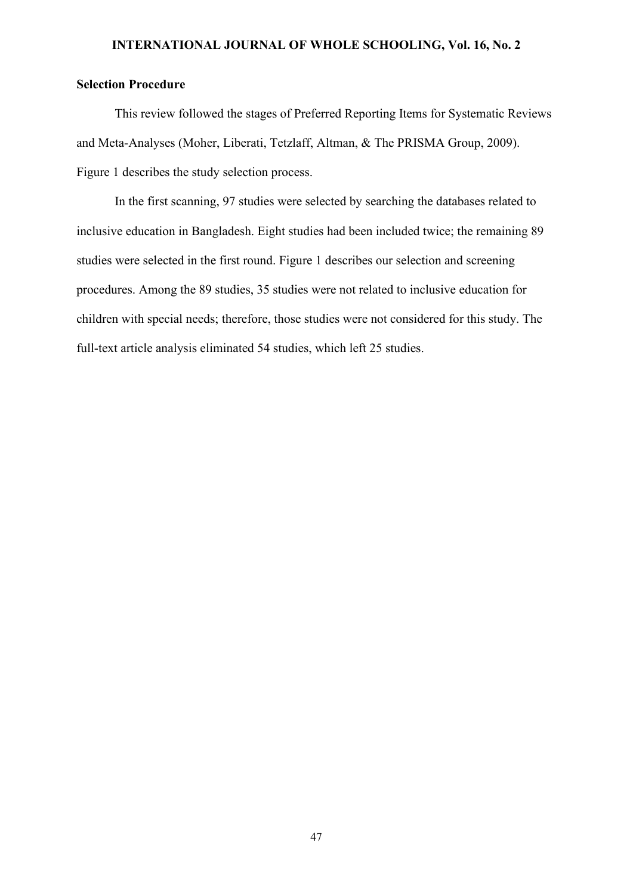# **Selection Procedure**

This review followed the stages of Preferred Reporting Items for Systematic Reviews and Meta-Analyses (Moher, Liberati, Tetzlaff, Altman, & The PRISMA Group, 2009). Figure 1 describes the study selection process.

In the first scanning, 97 studies were selected by searching the databases related to inclusive education in Bangladesh. Eight studies had been included twice; the remaining 89 studies were selected in the first round. Figure 1 describes our selection and screening procedures. Among the 89 studies, 35 studies were not related to inclusive education for children with special needs; therefore, those studies were not considered for this study. The full-text article analysis eliminated 54 studies, which left 25 studies.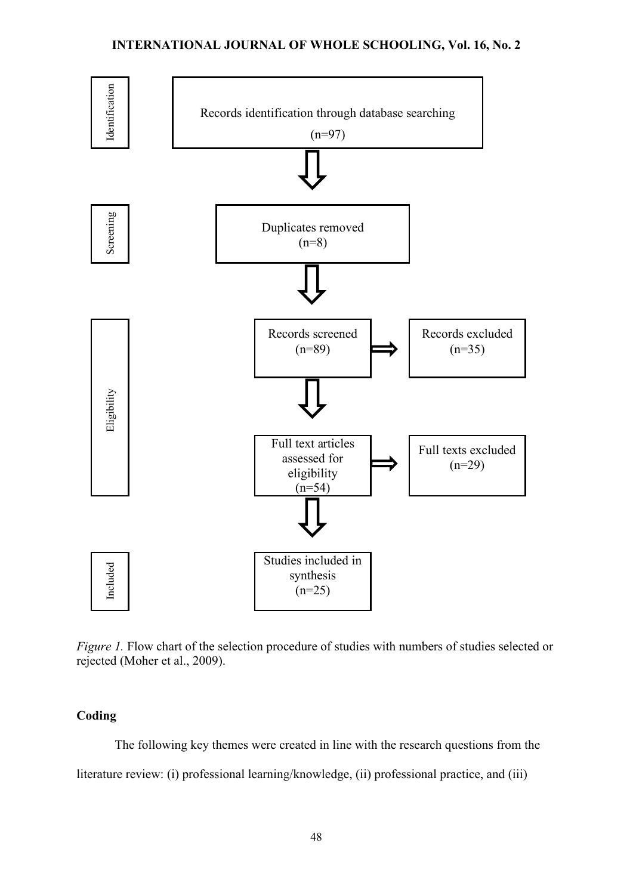

*Figure 1.* Flow chart of the selection procedure of studies with numbers of studies selected or rejected (Moher et al., 2009).

# **Coding**

The following key themes were created in line with the research questions from the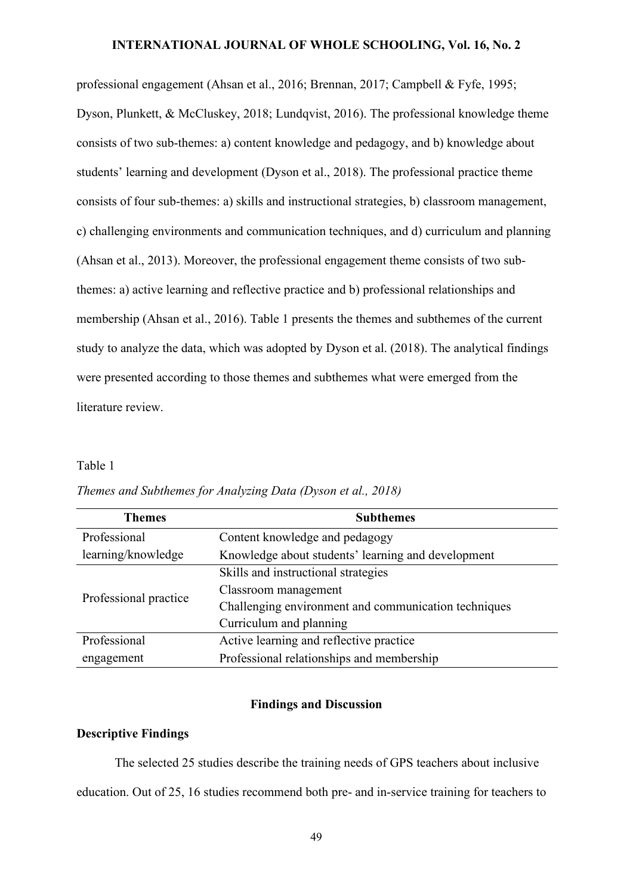professional engagement (Ahsan et al., 2016; Brennan, 2017; Campbell & Fyfe, 1995; Dyson, Plunkett, & McCluskey, 2018; Lundqvist, 2016). The professional knowledge theme consists of two sub-themes: a) content knowledge and pedagogy, and b) knowledge about students' learning and development (Dyson et al., 2018). The professional practice theme consists of four sub-themes: a) skills and instructional strategies, b) classroom management, c) challenging environments and communication techniques, and d) curriculum and planning (Ahsan et al., 2013). Moreover, the professional engagement theme consists of two subthemes: a) active learning and reflective practice and b) professional relationships and membership (Ahsan et al., 2016). Table 1 presents the themes and subthemes of the current study to analyze the data, which was adopted by Dyson et al. (2018). The analytical findings were presented according to those themes and subthemes what were emerged from the literature review.

### Table 1

| <b>Themes</b>         | <b>Subthemes</b>                                     |  |
|-----------------------|------------------------------------------------------|--|
| Professional          | Content knowledge and pedagogy                       |  |
| learning/knowledge    | Knowledge about students' learning and development   |  |
| Professional practice | Skills and instructional strategies                  |  |
|                       | Classroom management                                 |  |
|                       | Challenging environment and communication techniques |  |
|                       | Curriculum and planning                              |  |
| Professional          | Active learning and reflective practice              |  |
| engagement            | Professional relationships and membership            |  |

*Themes and Subthemes for Analyzing Data (Dyson et al., 2018)*

# **Findings and Discussion**

#### **Descriptive Findings**

The selected 25 studies describe the training needs of GPS teachers about inclusive education. Out of 25, 16 studies recommend both pre- and in-service training for teachers to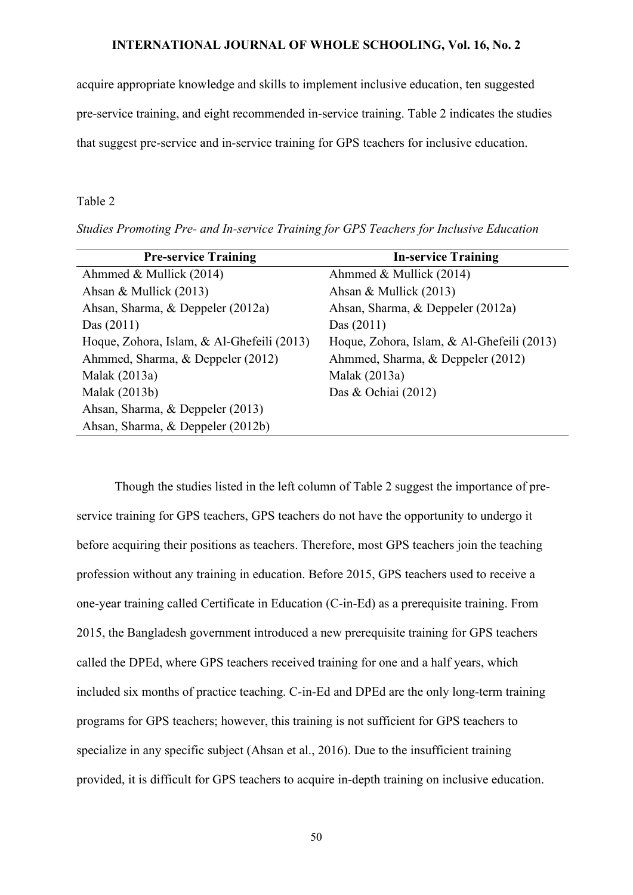acquire appropriate knowledge and skills to implement inclusive education, ten suggested pre-service training, and eight recommended in-service training. Table 2 indicates the studies that suggest pre-service and in-service training for GPS teachers for inclusive education.

#### Table 2

*Studies Promoting Pre- and In-service Training for GPS Teachers for Inclusive Education*

| <b>Pre-service Training</b>                | <b>In-service Training</b>                 |
|--------------------------------------------|--------------------------------------------|
| Ahmmed & Mullick (2014)                    | Ahmmed & Mullick (2014)                    |
| Ahsan & Mullick (2013)                     | Ahsan & Mullick (2013)                     |
| Ahsan, Sharma, & Deppeler (2012a)          | Ahsan, Sharma, & Deppeler (2012a)          |
| Das $(2011)$                               | Das $(2011)$                               |
| Hoque, Zohora, Islam, & Al-Ghefeili (2013) | Hoque, Zohora, Islam, & Al-Ghefeili (2013) |
| Ahmmed, Sharma, & Deppeler (2012)          | Ahmmed, Sharma, & Deppeler (2012)          |
| Malak (2013a)                              | Malak (2013a)                              |
| Malak (2013b)                              | Das & Ochiai $(2012)$                      |
| Ahsan, Sharma, & Deppeler (2013)           |                                            |
| Ahsan, Sharma, & Deppeler (2012b)          |                                            |

Though the studies listed in the left column of Table 2 suggest the importance of preservice training for GPS teachers, GPS teachers do not have the opportunity to undergo it before acquiring their positions as teachers. Therefore, most GPS teachers join the teaching profession without any training in education. Before 2015, GPS teachers used to receive a one-year training called Certificate in Education (C-in-Ed) as a prerequisite training. From 2015, the Bangladesh government introduced a new prerequisite training for GPS teachers called the DPEd, where GPS teachers received training for one and a half years, which included six months of practice teaching. C-in-Ed and DPEd are the only long-term training programs for GPS teachers; however, this training is not sufficient for GPS teachers to specialize in any specific subject (Ahsan et al., 2016). Due to the insufficient training provided, it is difficult for GPS teachers to acquire in-depth training on inclusive education.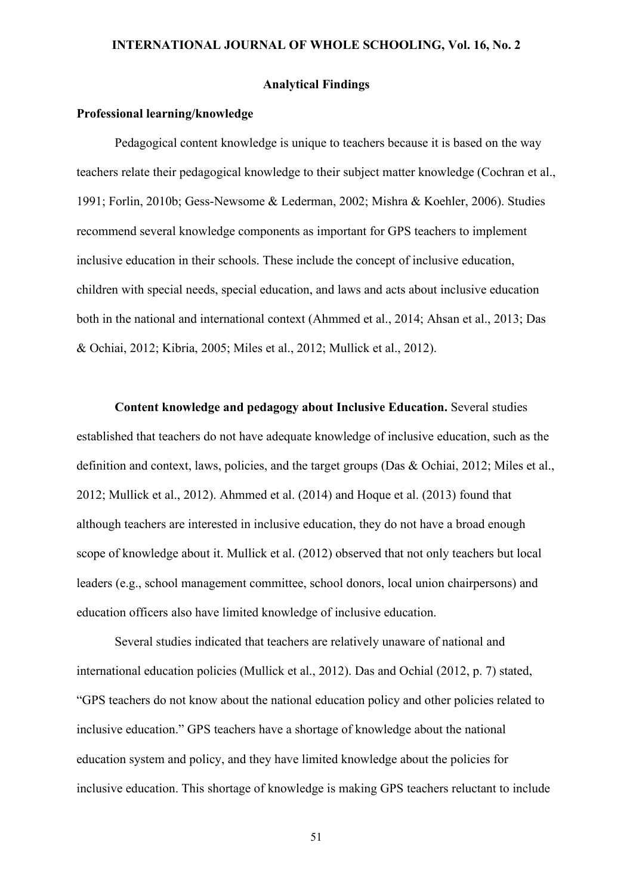#### **Analytical Findings**

#### **Professional learning/knowledge**

Pedagogical content knowledge is unique to teachers because it is based on the way teachers relate their pedagogical knowledge to their subject matter knowledge (Cochran et al., 1991; Forlin, 2010b; Gess-Newsome & Lederman, 2002; Mishra & Koehler, 2006). Studies recommend several knowledge components as important for GPS teachers to implement inclusive education in their schools. These include the concept of inclusive education, children with special needs, special education, and laws and acts about inclusive education both in the national and international context (Ahmmed et al., 2014; Ahsan et al., 2013; Das & Ochiai, 2012; Kibria, 2005; Miles et al., 2012; Mullick et al., 2012).

**Content knowledge and pedagogy about Inclusive Education.** Several studies established that teachers do not have adequate knowledge of inclusive education, such as the definition and context, laws, policies, and the target groups (Das & Ochiai, 2012; Miles et al., 2012; Mullick et al., 2012). Ahmmed et al. (2014) and Hoque et al. (2013) found that although teachers are interested in inclusive education, they do not have a broad enough scope of knowledge about it. Mullick et al. (2012) observed that not only teachers but local leaders (e.g., school management committee, school donors, local union chairpersons) and education officers also have limited knowledge of inclusive education.

Several studies indicated that teachers are relatively unaware of national and international education policies (Mullick et al., 2012). Das and Ochial (2012, p. 7) stated, "GPS teachers do not know about the national education policy and other policies related to inclusive education." GPS teachers have a shortage of knowledge about the national education system and policy, and they have limited knowledge about the policies for inclusive education. This shortage of knowledge is making GPS teachers reluctant to include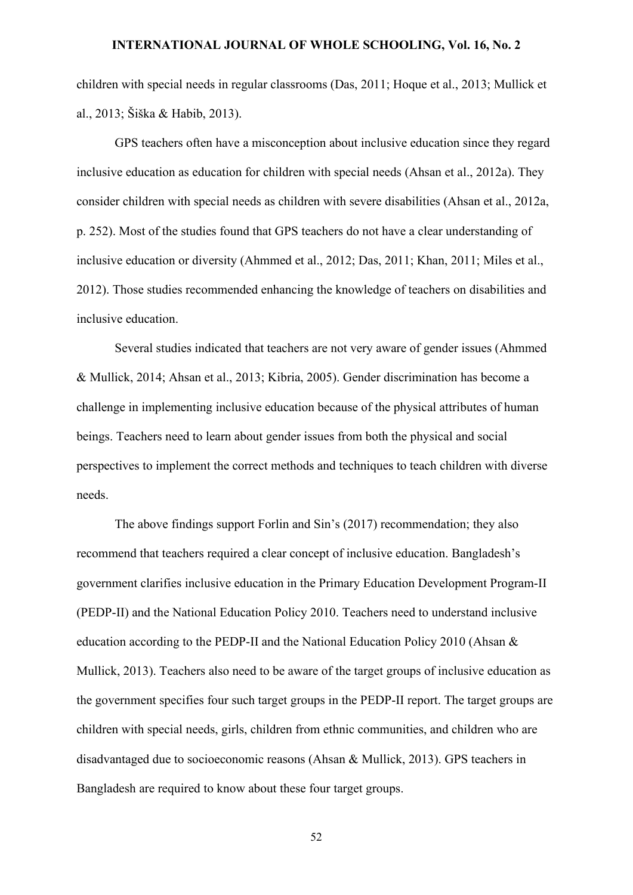children with special needs in regular classrooms (Das, 2011; Hoque et al., 2013; Mullick et al., 2013; Šiška & Habib, 2013).

GPS teachers often have a misconception about inclusive education since they regard inclusive education as education for children with special needs (Ahsan et al., 2012a). They consider children with special needs as children with severe disabilities (Ahsan et al., 2012a, p. 252). Most of the studies found that GPS teachers do not have a clear understanding of inclusive education or diversity (Ahmmed et al., 2012; Das, 2011; Khan, 2011; Miles et al., 2012). Those studies recommended enhancing the knowledge of teachers on disabilities and inclusive education.

Several studies indicated that teachers are not very aware of gender issues (Ahmmed & Mullick, 2014; Ahsan et al., 2013; Kibria, 2005). Gender discrimination has become a challenge in implementing inclusive education because of the physical attributes of human beings. Teachers need to learn about gender issues from both the physical and social perspectives to implement the correct methods and techniques to teach children with diverse needs.

The above findings support Forlin and Sin's (2017) recommendation; they also recommend that teachers required a clear concept of inclusive education. Bangladesh's government clarifies inclusive education in the Primary Education Development Program-II (PEDP-II) and the National Education Policy 2010. Teachers need to understand inclusive education according to the PEDP-II and the National Education Policy 2010 (Ahsan & Mullick, 2013). Teachers also need to be aware of the target groups of inclusive education as the government specifies four such target groups in the PEDP-II report. The target groups are children with special needs, girls, children from ethnic communities, and children who are disadvantaged due to socioeconomic reasons (Ahsan & Mullick, 2013). GPS teachers in Bangladesh are required to know about these four target groups.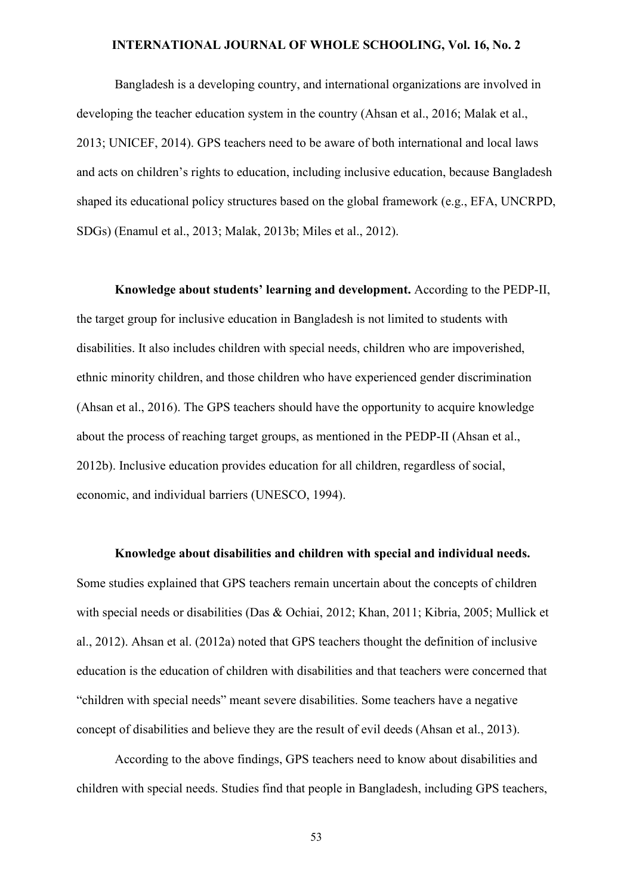Bangladesh is a developing country, and international organizations are involved in developing the teacher education system in the country (Ahsan et al., 2016; Malak et al., 2013; UNICEF, 2014). GPS teachers need to be aware of both international and local laws and acts on children's rights to education, including inclusive education, because Bangladesh shaped its educational policy structures based on the global framework (e.g., EFA, UNCRPD, SDGs) (Enamul et al., 2013; Malak, 2013b; Miles et al., 2012).

**Knowledge about students' learning and development.** According to the PEDP-II, the target group for inclusive education in Bangladesh is not limited to students with disabilities. It also includes children with special needs, children who are impoverished, ethnic minority children, and those children who have experienced gender discrimination (Ahsan et al., 2016). The GPS teachers should have the opportunity to acquire knowledge about the process of reaching target groups, as mentioned in the PEDP-II (Ahsan et al., 2012b). Inclusive education provides education for all children, regardless of social, economic, and individual barriers (UNESCO, 1994).

**Knowledge about disabilities and children with special and individual needs.** Some studies explained that GPS teachers remain uncertain about the concepts of children with special needs or disabilities (Das & Ochiai, 2012; Khan, 2011; Kibria, 2005; Mullick et al., 2012). Ahsan et al. (2012a) noted that GPS teachers thought the definition of inclusive education is the education of children with disabilities and that teachers were concerned that "children with special needs" meant severe disabilities. Some teachers have a negative concept of disabilities and believe they are the result of evil deeds (Ahsan et al., 2013).

According to the above findings, GPS teachers need to know about disabilities and children with special needs. Studies find that people in Bangladesh, including GPS teachers,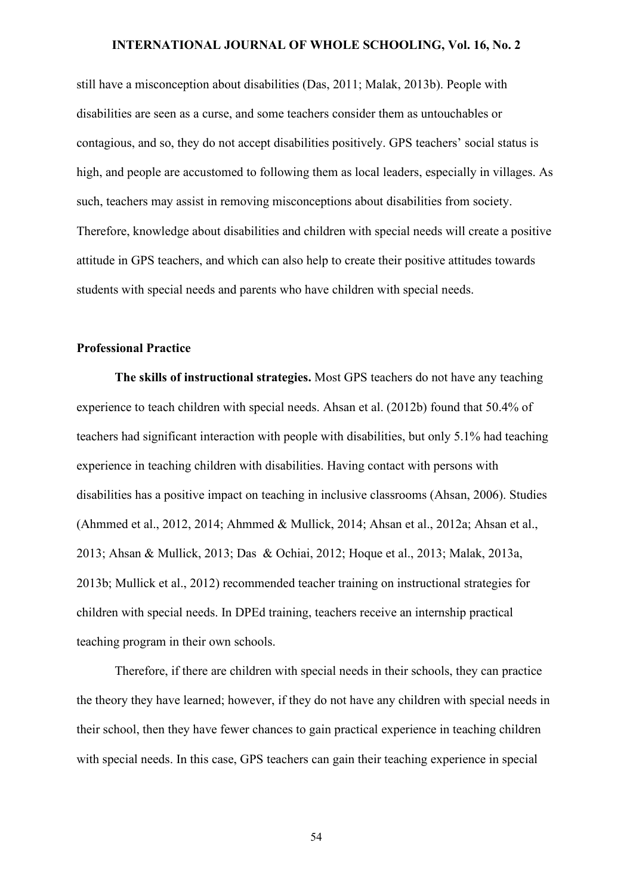still have a misconception about disabilities (Das, 2011; Malak, 2013b). People with disabilities are seen as a curse, and some teachers consider them as untouchables or contagious, and so, they do not accept disabilities positively. GPS teachers' social status is high, and people are accustomed to following them as local leaders, especially in villages. As such, teachers may assist in removing misconceptions about disabilities from society. Therefore, knowledge about disabilities and children with special needs will create a positive attitude in GPS teachers, and which can also help to create their positive attitudes towards students with special needs and parents who have children with special needs.

# **Professional Practice**

**The skills of instructional strategies.** Most GPS teachers do not have any teaching experience to teach children with special needs. Ahsan et al. (2012b) found that 50.4% of teachers had significant interaction with people with disabilities, but only 5.1% had teaching experience in teaching children with disabilities. Having contact with persons with disabilities has a positive impact on teaching in inclusive classrooms (Ahsan, 2006). Studies (Ahmmed et al., 2012, 2014; Ahmmed & Mullick, 2014; Ahsan et al., 2012a; Ahsan et al., 2013; Ahsan & Mullick, 2013; Das & Ochiai, 2012; Hoque et al., 2013; Malak, 2013a, 2013b; Mullick et al., 2012) recommended teacher training on instructional strategies for children with special needs. In DPEd training, teachers receive an internship practical teaching program in their own schools.

Therefore, if there are children with special needs in their schools, they can practice the theory they have learned; however, if they do not have any children with special needs in their school, then they have fewer chances to gain practical experience in teaching children with special needs. In this case, GPS teachers can gain their teaching experience in special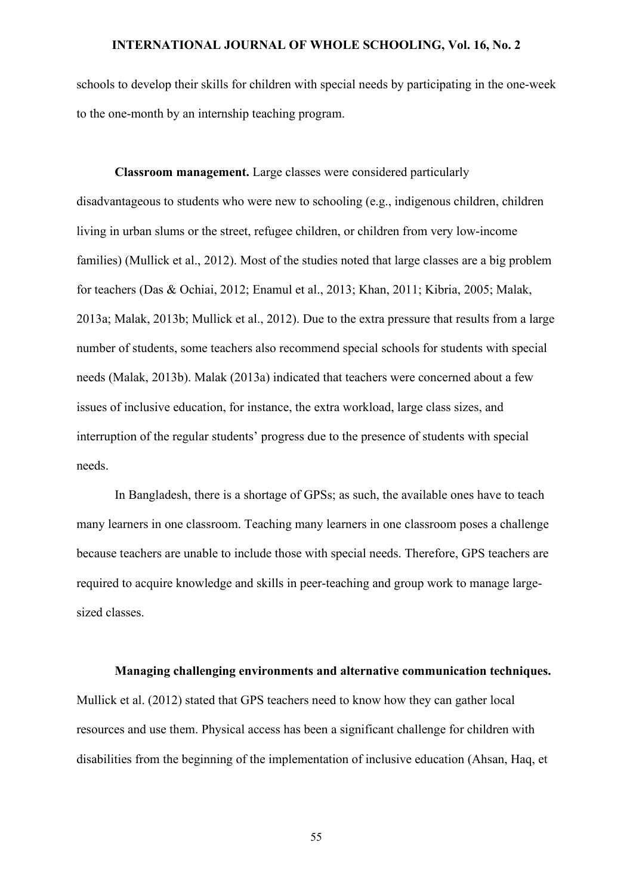schools to develop their skills for children with special needs by participating in the one-week to the one-month by an internship teaching program.

**Classroom management.** Large classes were considered particularly disadvantageous to students who were new to schooling (e.g., indigenous children, children living in urban slums or the street, refugee children, or children from very low-income families) (Mullick et al., 2012). Most of the studies noted that large classes are a big problem for teachers (Das & Ochiai, 2012; Enamul et al., 2013; Khan, 2011; Kibria, 2005; Malak, 2013a; Malak, 2013b; Mullick et al., 2012). Due to the extra pressure that results from a large number of students, some teachers also recommend special schools for students with special needs (Malak, 2013b). Malak (2013a) indicated that teachers were concerned about a few issues of inclusive education, for instance, the extra workload, large class sizes, and interruption of the regular students' progress due to the presence of students with special needs.

In Bangladesh, there is a shortage of GPSs; as such, the available ones have to teach many learners in one classroom. Teaching many learners in one classroom poses a challenge because teachers are unable to include those with special needs. Therefore, GPS teachers are required to acquire knowledge and skills in peer-teaching and group work to manage largesized classes.

**Managing challenging environments and alternative communication techniques.**

Mullick et al. (2012) stated that GPS teachers need to know how they can gather local resources and use them. Physical access has been a significant challenge for children with disabilities from the beginning of the implementation of inclusive education (Ahsan, Haq, et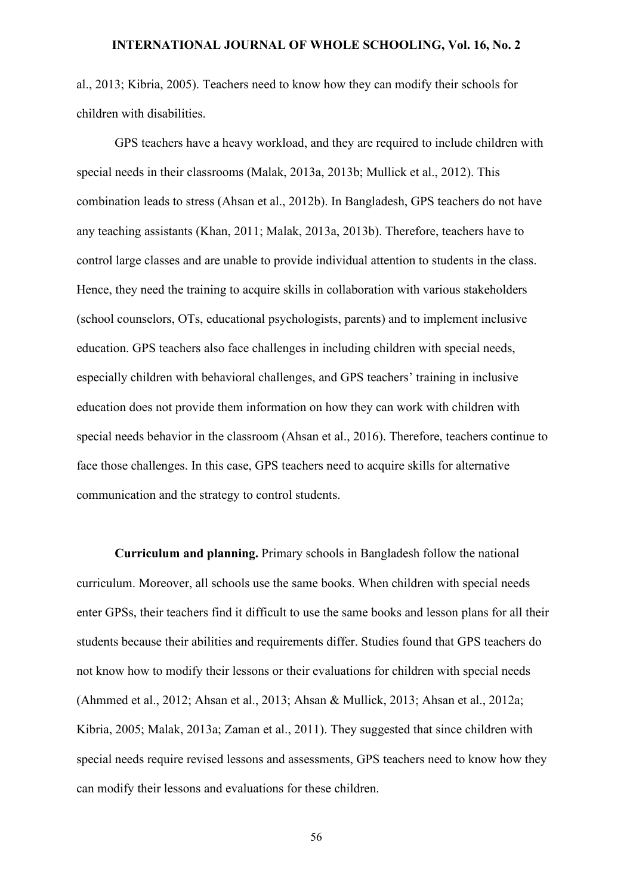al., 2013; Kibria, 2005). Teachers need to know how they can modify their schools for children with disabilities.

GPS teachers have a heavy workload, and they are required to include children with special needs in their classrooms (Malak, 2013a, 2013b; Mullick et al., 2012). This combination leads to stress (Ahsan et al., 2012b). In Bangladesh, GPS teachers do not have any teaching assistants (Khan, 2011; Malak, 2013a, 2013b). Therefore, teachers have to control large classes and are unable to provide individual attention to students in the class. Hence, they need the training to acquire skills in collaboration with various stakeholders (school counselors, OTs, educational psychologists, parents) and to implement inclusive education. GPS teachers also face challenges in including children with special needs, especially children with behavioral challenges, and GPS teachers' training in inclusive education does not provide them information on how they can work with children with special needs behavior in the classroom (Ahsan et al., 2016). Therefore, teachers continue to face those challenges. In this case, GPS teachers need to acquire skills for alternative communication and the strategy to control students.

**Curriculum and planning.** Primary schools in Bangladesh follow the national curriculum. Moreover, all schools use the same books. When children with special needs enter GPSs, their teachers find it difficult to use the same books and lesson plans for all their students because their abilities and requirements differ. Studies found that GPS teachers do not know how to modify their lessons or their evaluations for children with special needs (Ahmmed et al., 2012; Ahsan et al., 2013; Ahsan & Mullick, 2013; Ahsan et al., 2012a; Kibria, 2005; Malak, 2013a; Zaman et al., 2011). They suggested that since children with special needs require revised lessons and assessments, GPS teachers need to know how they can modify their lessons and evaluations for these children.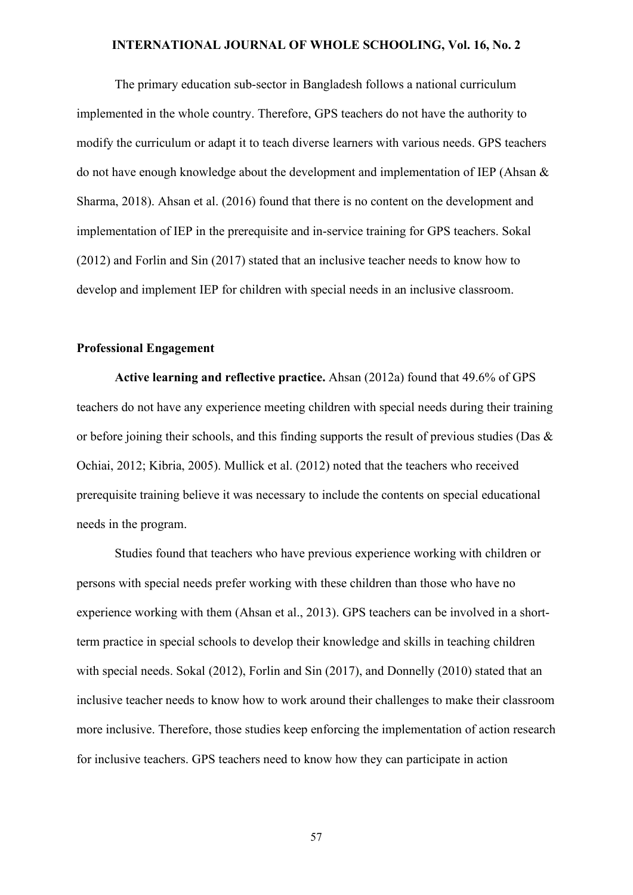The primary education sub-sector in Bangladesh follows a national curriculum implemented in the whole country. Therefore, GPS teachers do not have the authority to modify the curriculum or adapt it to teach diverse learners with various needs. GPS teachers do not have enough knowledge about the development and implementation of IEP (Ahsan & Sharma, 2018). Ahsan et al. (2016) found that there is no content on the development and implementation of IEP in the prerequisite and in-service training for GPS teachers. Sokal (2012) and Forlin and Sin (2017) stated that an inclusive teacher needs to know how to develop and implement IEP for children with special needs in an inclusive classroom.

# **Professional Engagement**

**Active learning and reflective practice.** Ahsan (2012a) found that 49.6% of GPS teachers do not have any experience meeting children with special needs during their training or before joining their schools, and this finding supports the result of previous studies (Das & Ochiai, 2012; Kibria, 2005). Mullick et al. (2012) noted that the teachers who received prerequisite training believe it was necessary to include the contents on special educational needs in the program.

Studies found that teachers who have previous experience working with children or persons with special needs prefer working with these children than those who have no experience working with them (Ahsan et al., 2013). GPS teachers can be involved in a shortterm practice in special schools to develop their knowledge and skills in teaching children with special needs. Sokal (2012), Forlin and Sin (2017), and Donnelly (2010) stated that an inclusive teacher needs to know how to work around their challenges to make their classroom more inclusive. Therefore, those studies keep enforcing the implementation of action research for inclusive teachers. GPS teachers need to know how they can participate in action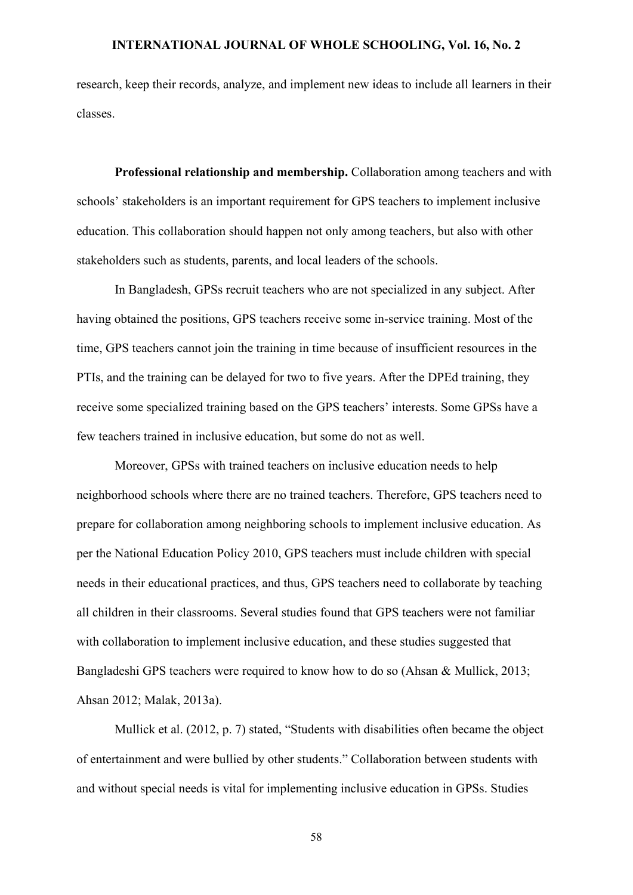research, keep their records, analyze, and implement new ideas to include all learners in their classes.

**Professional relationship and membership.** Collaboration among teachers and with schools' stakeholders is an important requirement for GPS teachers to implement inclusive education. This collaboration should happen not only among teachers, but also with other stakeholders such as students, parents, and local leaders of the schools.

In Bangladesh, GPSs recruit teachers who are not specialized in any subject. After having obtained the positions, GPS teachers receive some in-service training. Most of the time, GPS teachers cannot join the training in time because of insufficient resources in the PTIs, and the training can be delayed for two to five years. After the DPEd training, they receive some specialized training based on the GPS teachers' interests. Some GPSs have a few teachers trained in inclusive education, but some do not as well.

Moreover, GPSs with trained teachers on inclusive education needs to help neighborhood schools where there are no trained teachers. Therefore, GPS teachers need to prepare for collaboration among neighboring schools to implement inclusive education. As per the National Education Policy 2010, GPS teachers must include children with special needs in their educational practices, and thus, GPS teachers need to collaborate by teaching all children in their classrooms. Several studies found that GPS teachers were not familiar with collaboration to implement inclusive education, and these studies suggested that Bangladeshi GPS teachers were required to know how to do so (Ahsan & Mullick, 2013; Ahsan 2012; Malak, 2013a).

Mullick et al. (2012, p. 7) stated, "Students with disabilities often became the object of entertainment and were bullied by other students." Collaboration between students with and without special needs is vital for implementing inclusive education in GPSs. Studies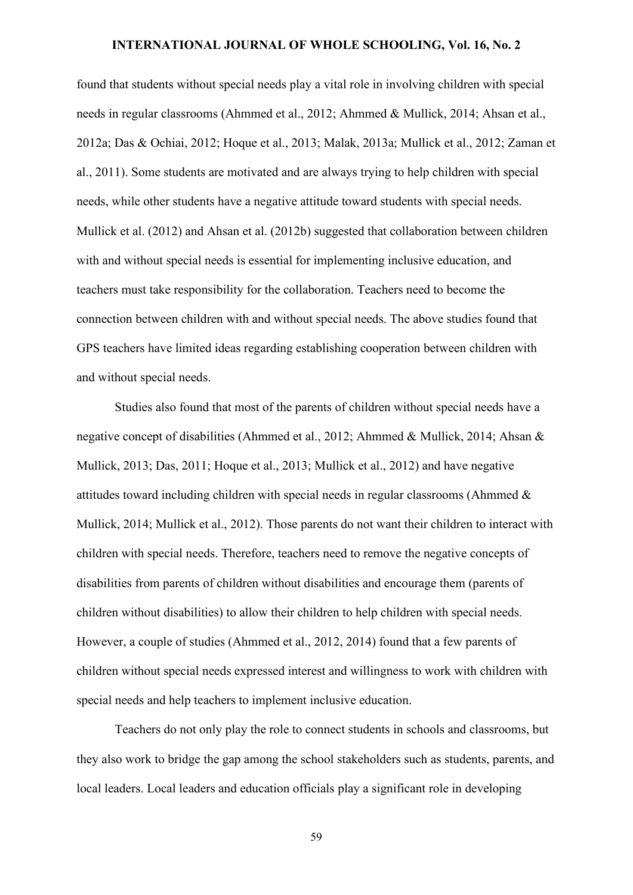found that students without special needs play a vital role in involving children with special needs in regular classrooms (Ahmmed et al., 2012; Ahmmed & Mullick, 2014; Ahsan et al., 2012a; Das & Ochiai, 2012; Hoque et al., 2013; Malak, 2013a; Mullick et al., 2012; Zaman et al., 2011). Some students are motivated and are always trying to help children with special needs, while other students have a negative attitude toward students with special needs. Mullick et al. (2012) and Ahsan et al. (2012b) suggested that collaboration between children with and without special needs is essential for implementing inclusive education, and teachers must take responsibility for the collaboration. Teachers need to become the connection between children with and without special needs. The above studies found that GPS teachers have limited ideas regarding establishing cooperation between children with and without special needs.

Studies also found that most of the parents of children without special needs have a negative concept of disabilities (Ahmmed et al., 2012; Ahmmed & Mullick, 2014; Ahsan & Mullick, 2013; Das, 2011; Hoque et al., 2013; Mullick et al., 2012) and have negative attitudes toward including children with special needs in regular classrooms (Ahmmed & Mullick, 2014; Mullick et al., 2012). Those parents do not want their children to interact with children with special needs. Therefore, teachers need to remove the negative concepts of disabilities from parents of children without disabilities and encourage them (parents of children without disabilities) to allow their children to help children with special needs. However, a couple of studies (Ahmmed et al., 2012, 2014) found that a few parents of children without special needs expressed interest and willingness to work with children with special needs and help teachers to implement inclusive education.

Teachers do not only play the role to connect students in schools and classrooms, but they also work to bridge the gap among the school stakeholders such as students, parents, and local leaders. Local leaders and education officials play a significant role in developing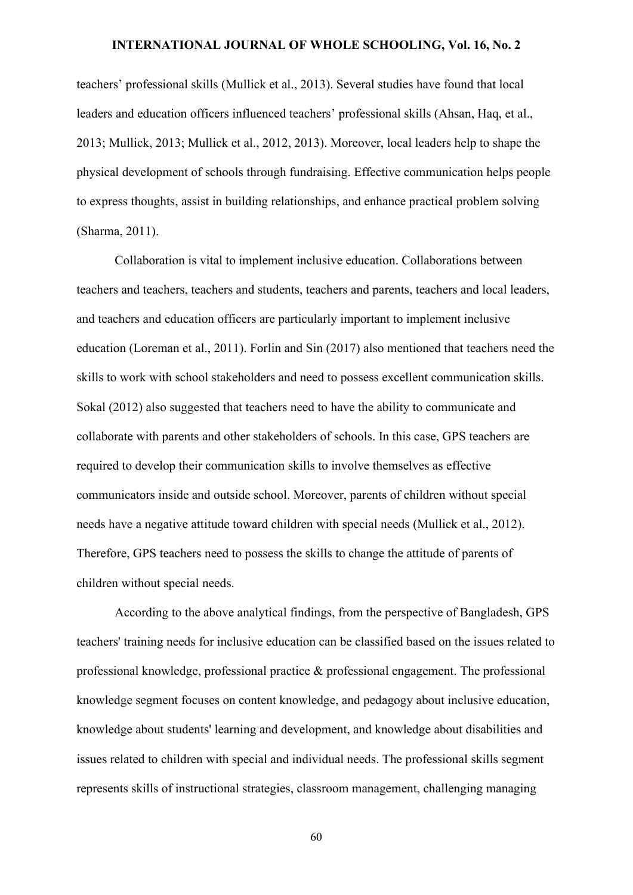teachers' professional skills (Mullick et al., 2013). Several studies have found that local leaders and education officers influenced teachers' professional skills (Ahsan, Haq, et al., 2013; Mullick, 2013; Mullick et al., 2012, 2013). Moreover, local leaders help to shape the physical development of schools through fundraising. Effective communication helps people to express thoughts, assist in building relationships, and enhance practical problem solving (Sharma, 2011).

Collaboration is vital to implement inclusive education. Collaborations between teachers and teachers, teachers and students, teachers and parents, teachers and local leaders, and teachers and education officers are particularly important to implement inclusive education (Loreman et al., 2011). Forlin and Sin (2017) also mentioned that teachers need the skills to work with school stakeholders and need to possess excellent communication skills. Sokal (2012) also suggested that teachers need to have the ability to communicate and collaborate with parents and other stakeholders of schools. In this case, GPS teachers are required to develop their communication skills to involve themselves as effective communicators inside and outside school. Moreover, parents of children without special needs have a negative attitude toward children with special needs (Mullick et al., 2012). Therefore, GPS teachers need to possess the skills to change the attitude of parents of children without special needs.

According to the above analytical findings, from the perspective of Bangladesh, GPS teachers' training needs for inclusive education can be classified based on the issues related to professional knowledge, professional practice & professional engagement. The professional knowledge segment focuses on content knowledge, and pedagogy about inclusive education, knowledge about students' learning and development, and knowledge about disabilities and issues related to children with special and individual needs. The professional skills segment represents skills of instructional strategies, classroom management, challenging managing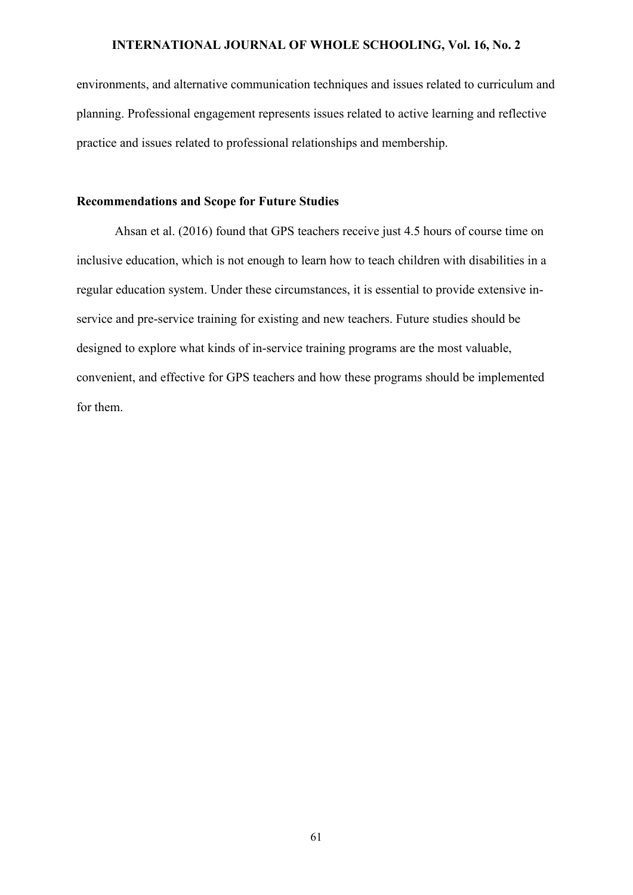environments, and alternative communication techniques and issues related to curriculum and planning. Professional engagement represents issues related to active learning and reflective practice and issues related to professional relationships and membership.

# **Recommendations and Scope for Future Studies**

Ahsan et al. (2016) found that GPS teachers receive just 4.5 hours of course time on inclusive education, which is not enough to learn how to teach children with disabilities in a regular education system. Under these circumstances, it is essential to provide extensive inservice and pre-service training for existing and new teachers. Future studies should be designed to explore what kinds of in-service training programs are the most valuable, convenient, and effective for GPS teachers and how these programs should be implemented for them.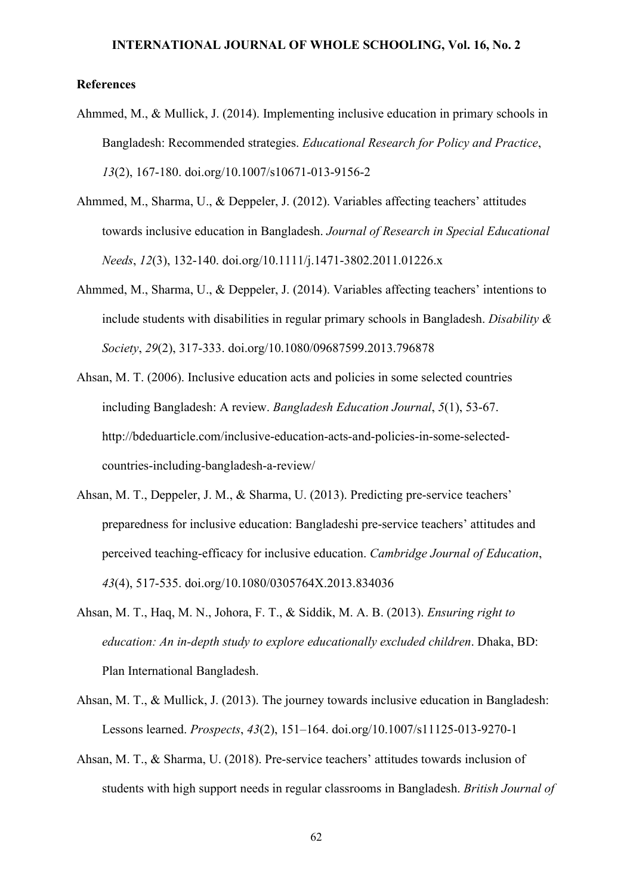#### **References**

- Ahmmed, M., & Mullick, J. (2014). Implementing inclusive education in primary schools in Bangladesh: Recommended strategies. *Educational Research for Policy and Practice*, *13*(2), 167-180. [doi.org/10.1007/s10671-013-9156-2](https://doi.org/10.1007/s10671-013-9156-2)
- Ahmmed, M., Sharma, U., & Deppeler, J. (2012). Variables affecting teachers' attitudes towards inclusive education in Bangladesh. *Journal of Research in Special Educational Needs*, *12*(3), 132-140. [doi.org/10.1111/j.1471-3802.2011.01226.x](https://doi.org/10.1111/j.1471-3802.2011.01226.x)
- Ahmmed, M., Sharma, U., & Deppeler, J. (2014). Variables affecting teachers' intentions to include students with disabilities in regular primary schools in Bangladesh. *Disability & Society*, *29*(2), 317-333. [doi.org/10.1080/09687599.2013.796878](https://doi.org/10.1080/09687599.2013.796878)
- Ahsan, M. T. (2006). Inclusive education acts and policies in some selected countries including Bangladesh: A review. *Bangladesh Education Journal*, *5*(1), 53-67. [http://bdeduarticle.com/inclusive-education-acts-and-policies-in-some-selected](http://bdeduarticle.com/inclusive-education-acts-and-policies-in-some-selected-countries-including-bangladesh-a-review/)[countries-including-bangladesh-a-review/](http://bdeduarticle.com/inclusive-education-acts-and-policies-in-some-selected-countries-including-bangladesh-a-review/)
- Ahsan, M. T., Deppeler, J. M., & Sharma, U. (2013). Predicting pre-service teachers' preparedness for inclusive education: Bangladeshi pre-service teachers' attitudes and perceived teaching-efficacy for inclusive education. *Cambridge Journal of Education*, *43*(4), 517-535. [doi.org/10.1080/0305764X.2013.834036](https://doi.org/10.1080/0305764X.2013.834036)
- Ahsan, M. T., Haq, M. N., Johora, F. T., & Siddik, M. A. B. (2013). *Ensuring right to education: An in-depth study to explore educationally excluded children*. Dhaka, BD: Plan International Bangladesh.
- Ahsan, M. T., & Mullick, J. (2013). The journey towards inclusive education in Bangladesh: Lessons learned. *Prospects*, *43*(2), 151–164. [doi.org/10.1007/s11125-013-9270-1](https://doi.org/10.1007/s11125-013-9270-1)
- Ahsan, M. T., & Sharma, U. (2018). Pre-service teachers' attitudes towards inclusion of students with high support needs in regular classrooms in Bangladesh. *British Journal of*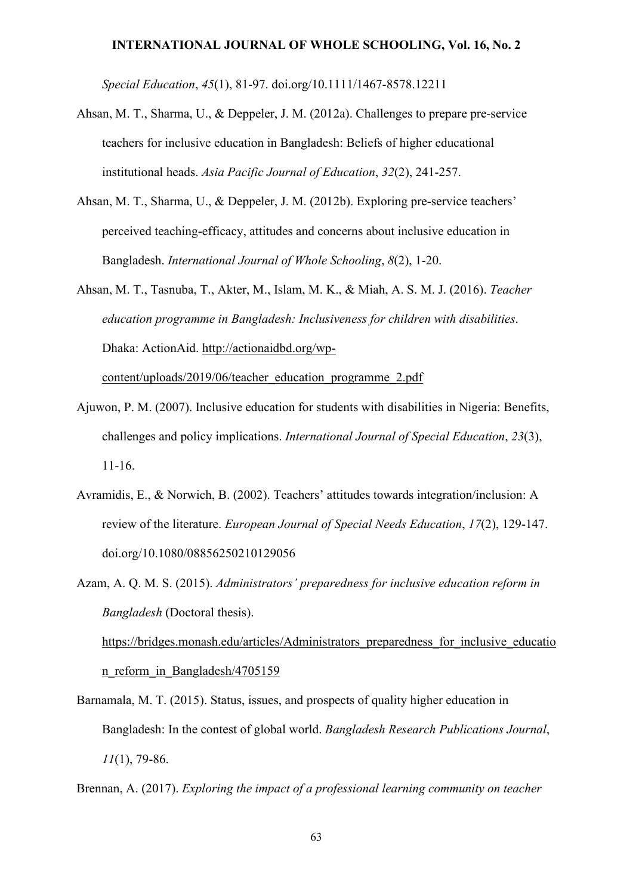*Special Education*, *45*(1), 81-97. [doi.org/10.1111/1467-8578.12211](https://doi.org/10.1111/1467-8578.12211)

- Ahsan, M. T., Sharma, U., & Deppeler, J. M. (2012a). Challenges to prepare pre-service teachers for inclusive education in Bangladesh: Beliefs of higher educational institutional heads. *Asia Pacific Journal of Education*, *32*(2), 241-257.
- Ahsan, M. T., Sharma, U., & Deppeler, J. M. (2012b). Exploring pre-service teachers' perceived teaching-efficacy, attitudes and concerns about inclusive education in Bangladesh. *International Journal of Whole Schooling*, *8*(2), 1-20.
- Ahsan, M. T., Tasnuba, T., Akter, M., Islam, M. K., & Miah, A. S. M. J. (2016). *Teacher education programme in Bangladesh: Inclusiveness for children with disabilities*. Dhaka: ActionAid. [http://actionaidbd.org/wp](http://actionaidbd.org/wp-content/uploads/2019/06/teacher_education_programme_2.pdf)[content/uploads/2019/06/teacher\\_education\\_programme\\_2.pdf](http://actionaidbd.org/wp-content/uploads/2019/06/teacher_education_programme_2.pdf)
- Ajuwon, P. M. (2007). Inclusive education for students with disabilities in Nigeria: Benefits, challenges and policy implications. *International Journal of Special Education*, *23*(3), 11-16.
- Avramidis, E., & Norwich, B. (2002). Teachers' attitudes towards integration/inclusion: A review of the literature. *European Journal of Special Needs Education*, *17*(2), 129-147. [doi.org/10.1080/08856250210129056](https://doi.org/10.1080/08856250210129056)

Azam, A. Q. M. S. (2015). *Administrators' preparedness for inclusive education reform in Bangladesh* (Doctoral thesis). https://bridges.monash.edu/articles/Administrators preparedness for inclusive educatio n reform in Bangladesh/4705159

- Barnamala, M. T. (2015). Status, issues, and prospects of quality higher education in Bangladesh: In the contest of global world. *Bangladesh Research Publications Journal*, *11*(1), 79-86.
- Brennan, A. (2017). *Exploring the impact of a professional learning community on teacher*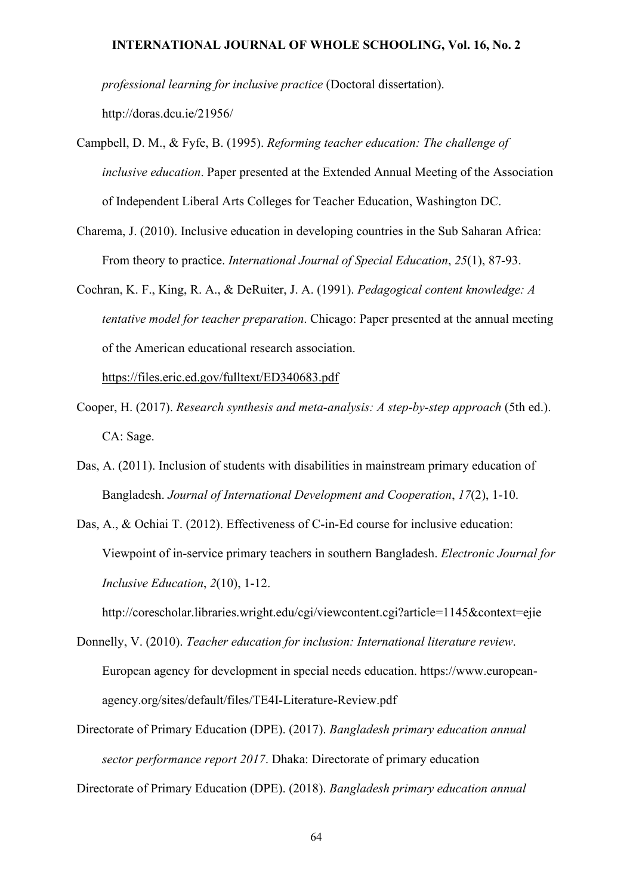*professional learning for inclusive practice* (Doctoral dissertation).

<http://doras.dcu.ie/21956/>

- Campbell, D. M., & Fyfe, B. (1995). *Reforming teacher education: The challenge of inclusive education*. Paper presented at the Extended Annual Meeting of the Association of Independent Liberal Arts Colleges for Teacher Education, Washington DC.
- Charema, J. (2010). Inclusive education in developing countries in the Sub Saharan Africa: From theory to practice. *International Journal of Special Education*, *25*(1), 87-93.
- Cochran, K. F., King, R. A., & DeRuiter, J. A. (1991). *Pedagogical content knowledge: A tentative model for teacher preparation*. Chicago: Paper presented at the annual meeting of the American educational research association.

<https://files.eric.ed.gov/fulltext/ED340683.pdf>

- Cooper, H. (2017). *Research synthesis and meta-analysis: A step-by-step approach* (5th ed.). CA: Sage.
- Das, A. (2011). Inclusion of students with disabilities in mainstream primary education of Bangladesh. *Journal of International Development and Cooperation*, *17*(2), 1-10.
- Das, A., & Ochiai T. (2012). Effectiveness of C-in-Ed course for inclusive education: Viewpoint of in-service primary teachers in southern Bangladesh. *Electronic Journal for Inclusive Education*, *2*(10), 1-12.

<http://corescholar.libraries.wright.edu/cgi/viewcontent.cgi?article=1145&context=ejie>

- Donnelly, V. (2010). *Teacher education for inclusion: International literature review*. European agency for development in special needs education. [https://www.european](https://www.european-agency.org/sites/default/files/TE4I-Literature-Review.pdf)[agency.org/sites/default/files/TE4I-Literature-Review.pdf](https://www.european-agency.org/sites/default/files/TE4I-Literature-Review.pdf)
- Directorate of Primary Education (DPE). (2017). *Bangladesh primary education annual sector performance report 2017*. Dhaka: Directorate of primary education

Directorate of Primary Education (DPE). (2018). *Bangladesh primary education annual*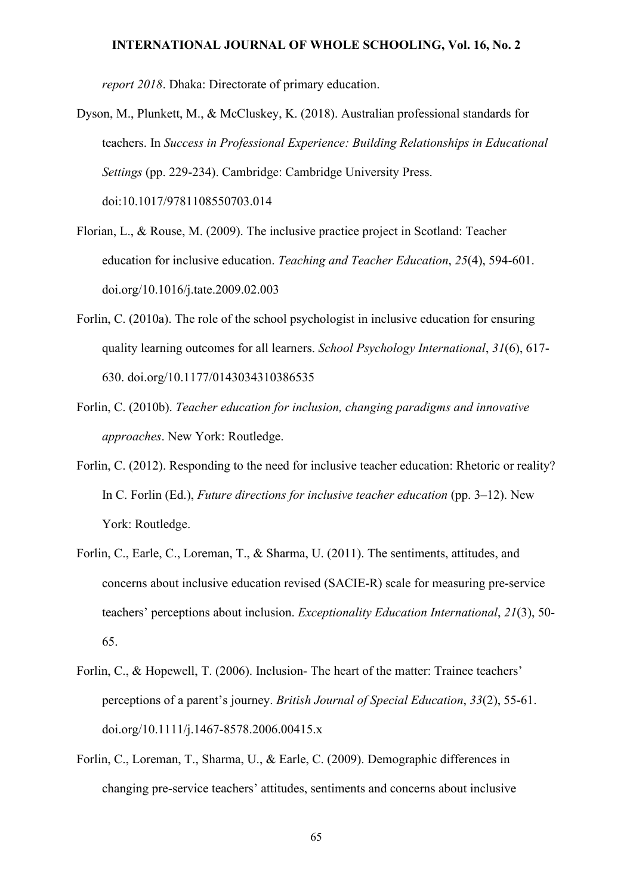*report 2018*. Dhaka: Directorate of primary education.

- Dyson, M., Plunkett, M., & McCluskey, K. (2018). Australian professional standards for teachers. In *Success in Professional Experience: Building Relationships in Educational Settings* (pp. 229-234). Cambridge: Cambridge University Press. doi:10.1017/9781108550703.014
- Florian, L., & Rouse, M. (2009). The inclusive practice project in Scotland: Teacher education for inclusive education. *Teaching and Teacher Education*, *25*(4), 594-601. [doi.org/10.1016/j.tate.2009.02.003](https://doi.org/10.1016/j.tate.2009.02.003)
- Forlin, C. (2010a). The role of the school psychologist in inclusive education for ensuring quality learning outcomes for all learners. *School Psychology International*, *31*(6), 617- 630. [doi.org/10.1177/0143034310386535](https://doi.org/10.1177/0143034310386535)
- Forlin, C. (2010b). *Teacher education for inclusion, changing paradigms and innovative approaches*. New York: Routledge.
- Forlin, C. (2012). Responding to the need for inclusive teacher education: Rhetoric or reality? In C. Forlin (Ed.), *Future directions for inclusive teacher education* (pp. 3–12). New York: Routledge.
- Forlin, C., Earle, C., Loreman, T., & Sharma, U. (2011). The sentiments, attitudes, and concerns about inclusive education revised (SACIE-R) scale for measuring pre-service teachers' perceptions about inclusion. *Exceptionality Education International*, *21*(3), 50- 65.
- Forlin, C., & Hopewell, T. (2006). Inclusion- The heart of the matter: Trainee teachers' perceptions of a parent's journey. *British Journal of Special Education*, *33*(2), 55-61. [doi.org/10.1111/j.1467-8578.2006.00415.x](https://doi.org/10.1111/j.1467-8578.2006.00415.x)
- Forlin, C., Loreman, T., Sharma, U., & Earle, C. (2009). Demographic differences in changing pre‐service teachers' attitudes, sentiments and concerns about inclusive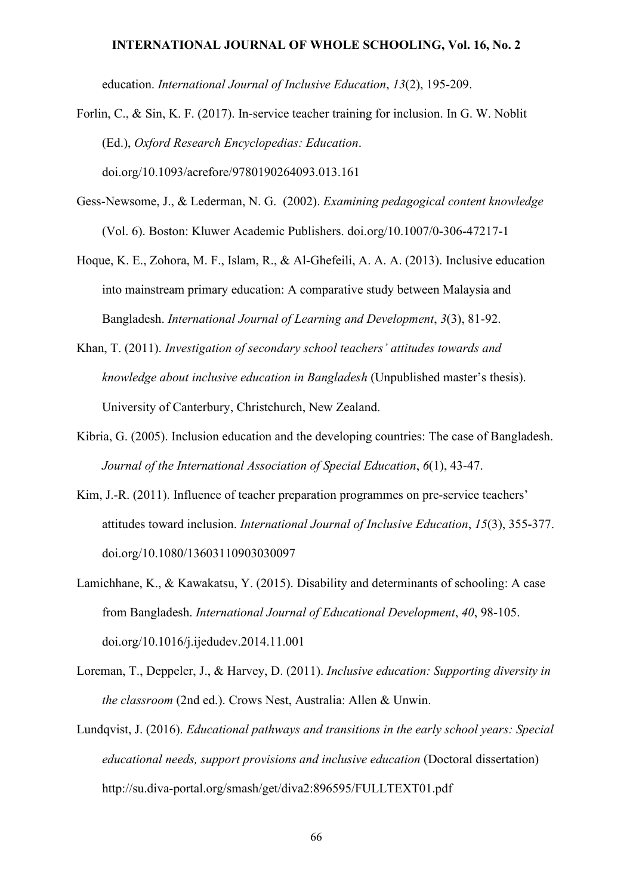education. *International Journal of Inclusive Education*, *13*(2), 195-209.

Forlin, C., & Sin, K. F. (2017). In-service teacher training for inclusion. In G. W. Noblit (Ed.), *Oxford Research Encyclopedias: Education*. doi.org/10.1093/acrefore/9780190264093.013.161

- Gess-Newsome, J., & Lederman, N. G. (2002). *Examining pedagogical content knowledge* (Vol. 6). Boston: Kluwer Academic Publishers. [doi.org/10.1007/0-306-47217-1](https://doi.org/10.1007/0-306-47217-1)
- Hoque, K. E., Zohora, M. F., Islam, R., & Al-Ghefeili, A. A. A. (2013). Inclusive education into mainstream primary education: A comparative study between Malaysia and Bangladesh. *International Journal of Learning and Development*, *3*(3), 81-92.
- Khan, T. (2011). *Investigation of secondary school teachers' attitudes towards and knowledge about inclusive education in Bangladesh* (Unpublished master's thesis). University of Canterbury, Christchurch, New Zealand.
- Kibria, G. (2005). Inclusion education and the developing countries: The case of Bangladesh. *Journal of the International Association of Special Education*, *6*(1), 43-47.
- Kim, J.-R. (2011). Influence of teacher preparation programmes on pre-service teachers' attitudes toward inclusion. *International Journal of Inclusive Education*, *15*(3), 355-377. [doi.org/10.1080/13603110903030097](https://doi.org/10.1080/13603110903030097)
- Lamichhane, K., & Kawakatsu, Y. (2015). Disability and determinants of schooling: A case from Bangladesh. *International Journal of Educational Development*, *40*, 98-105. [doi.org/10.1016/j.ijedudev.2014.11.001](http://dx.doi.org/10.1016/j.ijedudev.2014.11.001)
- Loreman, T., Deppeler, J., & Harvey, D. (2011). *Inclusive education: Supporting diversity in the classroom* (2nd ed.). Crows Nest, Australia: Allen & Unwin.
- Lundqvist, J. (2016). *Educational pathways and transitions in the early school years: Special educational needs, support provisions and inclusive education* (Doctoral dissertation) http://su.diva-portal.org/smash/get/diva2:896595/FULLTEXT01.pdf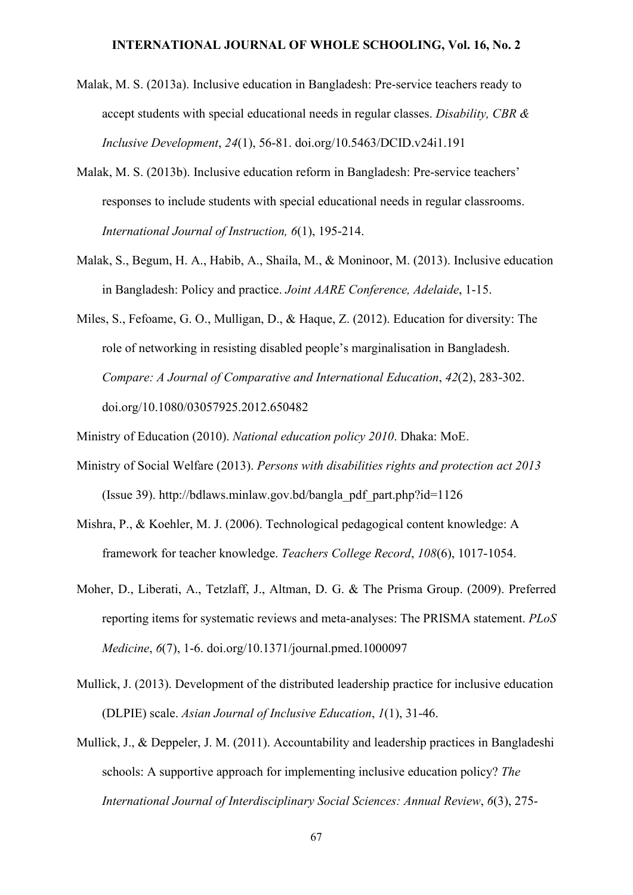- Malak, M. S. (2013a). Inclusive education in Bangladesh: Pre-service teachers ready to accept students with special educational needs in regular classes. *Disability, CBR & Inclusive Development*, *24*(1), 56-81. [doi.org/10.5463/DCID.v24i1.191](https://doi.org/10.5463/DCID.v24i1.191)
- Malak, M. S. (2013b). Inclusive education reform in Bangladesh: Pre-service teachers' responses to include students with special educational needs in regular classrooms. *International Journal of Instruction, 6*(1), 195-214.
- Malak, S., Begum, H. A., Habib, A., Shaila, M., & Moninoor, M. (2013). Inclusive education in Bangladesh: Policy and practice. *Joint AARE Conference, Adelaide*, 1-15.
- Miles, S., Fefoame, G. O., Mulligan, D., & Haque, Z. (2012). Education for diversity: The role of networking in resisting disabled people's marginalisation in Bangladesh. *Compare: A Journal of Comparative and International Education*, *42*(2), 283-302. [doi.org/10.1080/03057925.2012.650482](https://doi.org/10.1080/03057925.2012.650482)

Ministry of Education (2010). *National education policy 2010*. Dhaka: MoE.

- Ministry of Social Welfare (2013). *Persons with disabilities rights and protection act 2013* (Issue 39). [http://bdlaws.minlaw.gov.bd/bangla\\_pdf\\_part.php?id=1126](http://bdlaws.minlaw.gov.bd/bangla_pdf_part.php?id=1126)
- Mishra, P., & Koehler, M. J. (2006). Technological pedagogical content knowledge: A framework for teacher knowledge. *Teachers College Record*, *108*(6), 1017-1054.
- Moher, D., Liberati, A., Tetzlaff, J., Altman, D. G. & The Prisma Group. (2009). Preferred reporting items for systematic reviews and meta-analyses: The PRISMA statement. *PLoS Medicine*, *6*(7), 1-6. [doi.org/10.1371/journal.pmed.1000097](https://doi.org/10.1371/journal.pmed.1000097)
- Mullick, J. (2013). Development of the distributed leadership practice for inclusive education (DLPIE) scale. *Asian Journal of Inclusive Education*, *1*(1), 31-46.
- Mullick, J., & Deppeler, J. M. (2011). Accountability and leadership practices in Bangladeshi schools: A supportive approach for implementing inclusive education policy? *The International Journal of Interdisciplinary Social Sciences: Annual Review*, *6*(3), 275-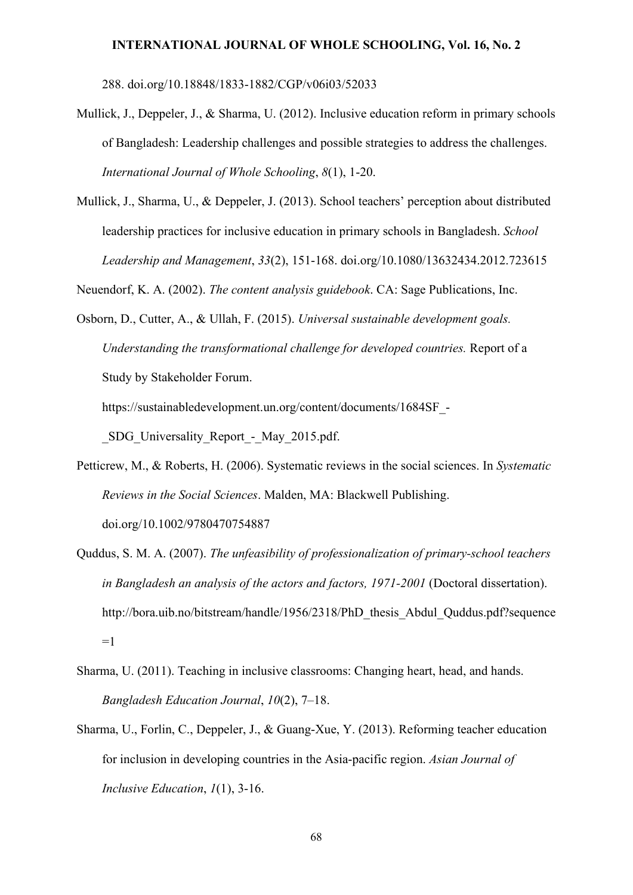288. [doi.org/10.18848/1833-1882/CGP/v06i03/52033](https://doi.org/10.18848/1833-1882/CGP/v06i03/52033)

- Mullick, J., Deppeler, J., & Sharma, U. (2012). Inclusive education reform in primary schools of Bangladesh: Leadership challenges and possible strategies to address the challenges. *International Journal of Whole Schooling*, *8*(1), 1-20.
- Mullick, J., Sharma, U., & Deppeler, J. (2013). School teachers' perception about distributed leadership practices for inclusive education in primary schools in Bangladesh. *School Leadership and Management*, *33*(2), 151-168. [doi.org/10.1080/13632434.2012.723615](https://doi.org/10.1080/13632434.2012.723615)

Neuendorf, K. A. (2002). *The content analysis guidebook*. CA: Sage Publications, Inc.

Osborn, D., Cutter, A., & Ullah, F. (2015). *Universal sustainable development goals. Understanding the transformational challenge for developed countries.* Report of a Study by Stakeholder Forum.

[https://sustainabledevelopment.un.org/content/documents/1684SF\\_-](https://sustainabledevelopment.un.org/content/documents/1684SF_-_SDG_Universality_Report_-_May_2015.pdf)

[\\_SDG\\_Universality\\_Report\\_-\\_May\\_2015.pdf.](https://sustainabledevelopment.un.org/content/documents/1684SF_-_SDG_Universality_Report_-_May_2015.pdf)

- Petticrew, M., & Roberts, H. (2006). Systematic reviews in the social sciences. In *Systematic Reviews in the Social Sciences*. Malden, MA: Blackwell Publishing. [doi.org/10.1002/9780470754887](https://doi.org/10.1002/9780470754887)
- Quddus, S. M. A. (2007). *The unfeasibility of professionalization of primary-school teachers in Bangladesh an analysis of the actors and factors, 1971-2001* (Doctoral dissertation). [http://bora.uib.no/bitstream/handle/1956/2318/PhD\\_thesis\\_Abdul\\_Quddus.pdf?sequence](http://bora.uib.no/bitstream/handle/1956/2318/PhD_thesis_Abdul_Quddus.pdf?sequence=1)  $=1$
- Sharma, U. (2011). Teaching in inclusive classrooms: Changing heart, head, and hands. *Bangladesh Education Journal*, *10*(2), 7–18.
- Sharma, U., Forlin, C., Deppeler, J., & Guang-Xue, Y. (2013). Reforming teacher education for inclusion in developing countries in the Asia-pacific region. *Asian Journal of Inclusive Education*, *1*(1), 3-16.